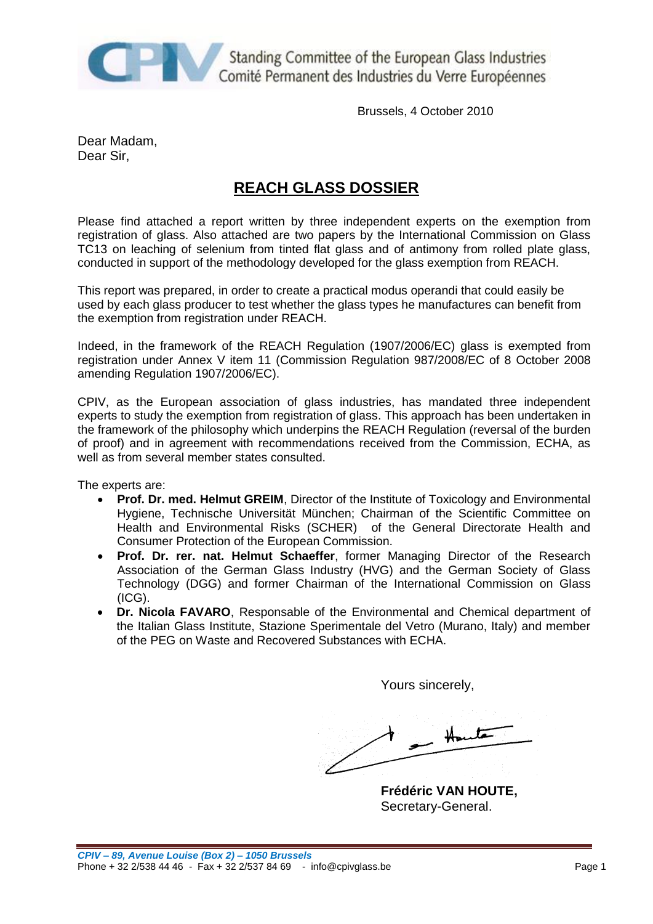

Standing Committee of the European Glass Industries Comité Permanent des Industries du Verre Européennes

Brussels, 4 October 2010

Dear Madam, Dear Sir,

# **REACH GLASS DOSSIER**

Please find attached a report written by three independent experts on the exemption from registration of glass. Also attached are two papers by the International Commission on Glass TC13 on leaching of selenium from tinted flat glass and of antimony from rolled plate glass, conducted in support of the methodology developed for the glass exemption from REACH.

This report was prepared, in order to create a practical modus operandi that could easily be used by each glass producer to test whether the glass types he manufactures can benefit from the exemption from registration under REACH.

Indeed, in the framework of the REACH Regulation (1907/2006/EC) glass is exempted from registration under Annex V item 11 (Commission Regulation 987/2008/EC of 8 October 2008 amending Regulation 1907/2006/EC).

CPIV, as the European association of glass industries, has mandated three independent experts to study the exemption from registration of glass. This approach has been undertaken in the framework of the philosophy which underpins the REACH Regulation (reversal of the burden of proof) and in agreement with recommendations received from the Commission, ECHA, as well as from several member states consulted.

The experts are:

- **Prof. Dr. med. Helmut GREIM**, Director of the Institute of Toxicology and Environmental Hygiene, Technische Universität München; Chairman of the Scientific Committee on Health and Environmental Risks (SCHER) of the General Directorate Health and Consumer Protection of the European Commission.
- **Prof. Dr. rer. nat. Helmut Schaeffer**, former Managing Director of the Research Association of the German Glass Industry (HVG) and the German Society of Glass Technology (DGG) and former Chairman of the International Commission on Glass (ICG).
- **Dr. Nicola FAVARO**, Responsable of the Environmental and Chemical department of the Italian Glass Institute, Stazione Sperimentale del Vetro (Murano, Italy) and member of the PEG on Waste and Recovered Substances with ECHA.

Yours sincerely,

 $-$  Houte

**Frédéric VAN HOUTE,** Secretary-General.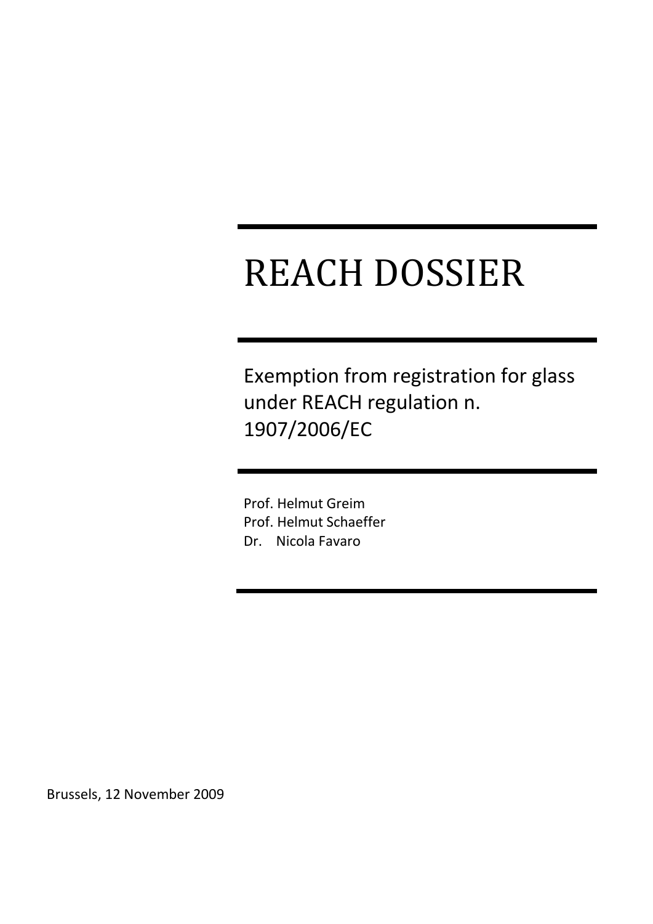# REACH DOSSIER

Exemption from registration for glass under REACH regulation n. 1907/2006/EC

Prof. Helmut Greim Prof. Helmut Schaeffer Dr. Nicola Favaro

Brussels, 12 November 2009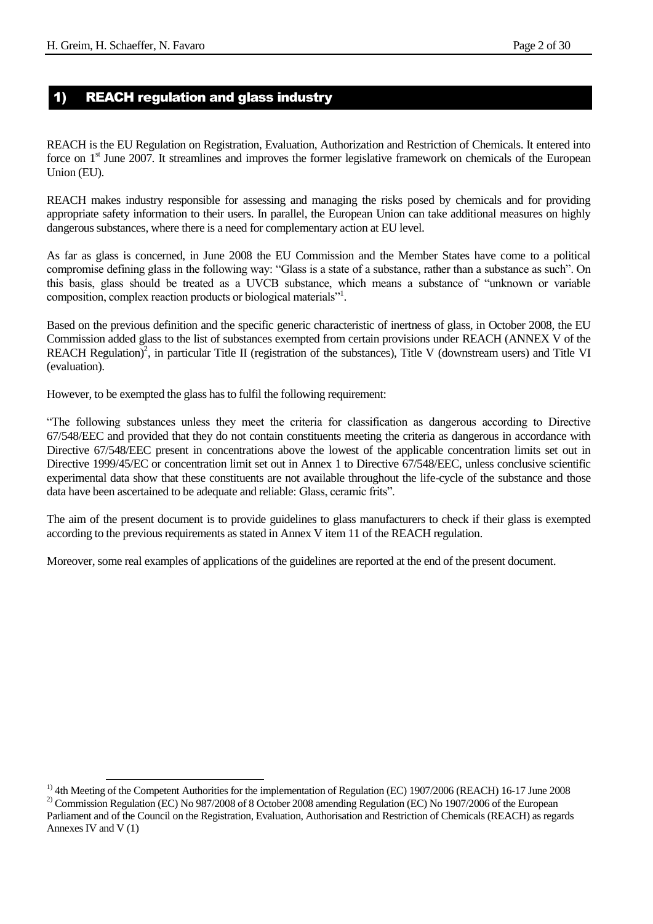### 1) REACH regulation and glass industry

REACH is the EU Regulation on Registration, Evaluation, Authorization and Restriction of Chemicals. It entered into force on 1<sup>st</sup> June 2007. It streamlines and improves the former legislative framework on chemicals of the European Union (EU).

REACH makes industry responsible for assessing and managing the risks posed by chemicals and for providing appropriate safety information to their users. In parallel, the European Union can take additional measures on highly dangerous substances, where there is a need for complementary action at EU level.

As far as glass is concerned, in June 2008 the EU Commission and the Member States have come to a political compromise defining glass in the following way: "Glass is a state of a substance, rather than a substance as such". On this basis, glass should be treated as a UVCB substance, which means a substance of "unknown or variable composition, complex reaction products or biological materials"<sup>1</sup> .

Based on the previous definition and the specific generic characteristic of inertness of glass, in October 2008, the EU Commission added glass to the list of substances exempted from certain provisions under REACH (ANNEX V of the REACH Regulation)<sup>2</sup>, in particular Title II (registration of the substances), Title V (downstream users) and Title VI (evaluation).

However, to be exempted the glass has to fulfil the following requirement:

"The following substances unless they meet the criteria for classification as dangerous according to Directive 67/548/EEC and provided that they do not contain constituents meeting the criteria as dangerous in accordance with Directive 67/548/EEC present in concentrations above the lowest of the applicable concentration limits set out in Directive 1999/45/EC or concentration limit set out in Annex 1 to Directive 67/548/EEC, unless conclusive scientific experimental data show that these constituents are not available throughout the life-cycle of the substance and those data have been ascertained to be adequate and reliable: Glass, ceramic frits".

The aim of the present document is to provide guidelines to glass manufacturers to check if their glass is exempted according to the previous requirements as stated in Annex V item 11 of the REACH regulation.

Moreover, some real examples of applications of the guidelines are reported at the end of the present document.

l

<sup>&</sup>lt;sup>1)</sup> 4th Meeting of the Competent Authorities for the implementation of Regulation (EC) 1907/2006 (REACH) 16-17 June 2008 <sup>2)</sup> Commission Regulation (EC) No 987/2008 of 8 October 2008 amending Regulation (EC) No 1907/2006 of the European

Parliament and of the Council on the Registration, Evaluation, Authorisation and Restriction of Chemicals (REACH) as regards Annexes IV and V (1)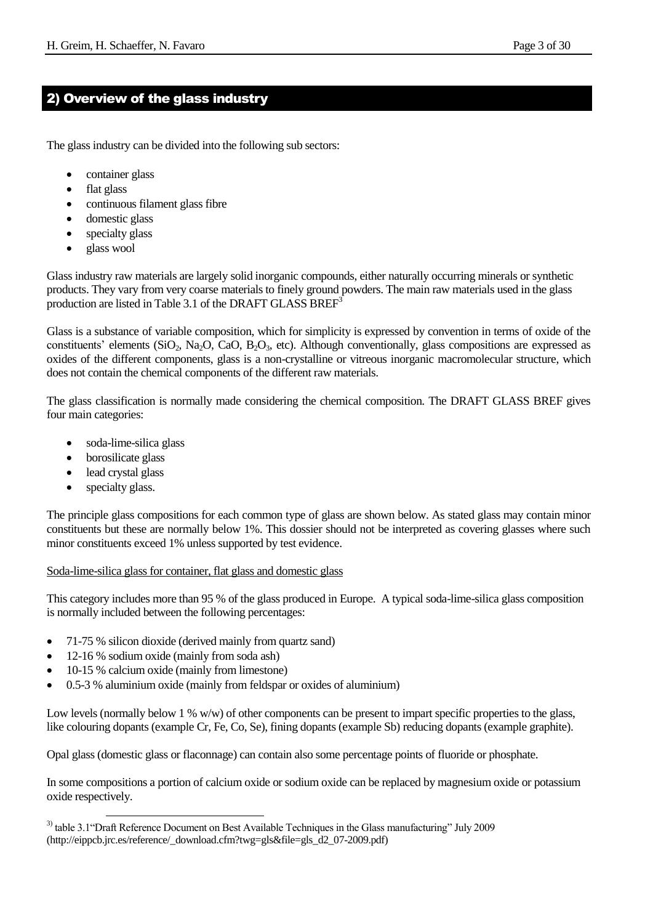# 2) Overview of the glass industry

The glass industry can be divided into the following sub sectors:

- container glass
- flat glass
- continuous filament glass fibre
- domestic glass
- specialty glass
- glass wool

Glass industry raw materials are largely solid inorganic compounds, either naturally occurring minerals or synthetic products. They vary from very coarse materials to finely ground powders. The main raw materials used in the glass production are listed in Table 3.1 of the DRAFT GLASS BREF<sup>3</sup>

Glass is a substance of variable composition, which for simplicity is expressed by convention in terms of oxide of the constituents' elements (SiO<sub>2</sub>, Na<sub>2</sub>O, CaO, B<sub>2</sub>O<sub>3</sub>, etc). Although conventionally, glass compositions are expressed as oxides of the different components, glass is a non-crystalline or vitreous inorganic macromolecular structure, which does not contain the chemical components of the different raw materials.

The glass classification is normally made considering the chemical composition. The DRAFT GLASS BREF gives four main categories:

- soda-lime-silica glass
- borosilicate glass
- lead crystal glass
- specialty glass.

l

The principle glass compositions for each common type of glass are shown below. As stated glass may contain minor constituents but these are normally below 1%. This dossier should not be interpreted as covering glasses where such minor constituents exceed 1% unless supported by test evidence.

#### Soda-lime-silica glass for container, flat glass and domestic glass

This category includes more than 95 % of the glass produced in Europe. A typical soda-lime-silica glass composition is normally included between the following percentages:

- 71-75 % silicon dioxide (derived mainly from quartz sand)
- 12-16 % sodium oxide (mainly from soda ash)
- 10-15 % calcium oxide (mainly from limestone)
- 0.5-3 % aluminium oxide (mainly from feldspar or oxides of aluminium)

Low levels (normally below 1 % w/w) of other components can be present to impart specific properties to the glass, like colouring dopants (example Cr, Fe, Co, Se), fining dopants (example Sb) reducing dopants (example graphite).

Opal glass (domestic glass or flaconnage) can contain also some percentage points of fluoride or phosphate.

In some compositions a portion of calcium oxide or sodium oxide can be replaced by magnesium oxide or potassium oxide respectively.

<sup>&</sup>lt;sup>3)</sup> table 3.1 ° Draft Reference Document on Best Available Techniques in the Glass manufacturing" July 2009 (http://eippcb.jrc.es/reference/\_download.cfm?twg=gls&file=gls\_d2\_07-2009.pdf)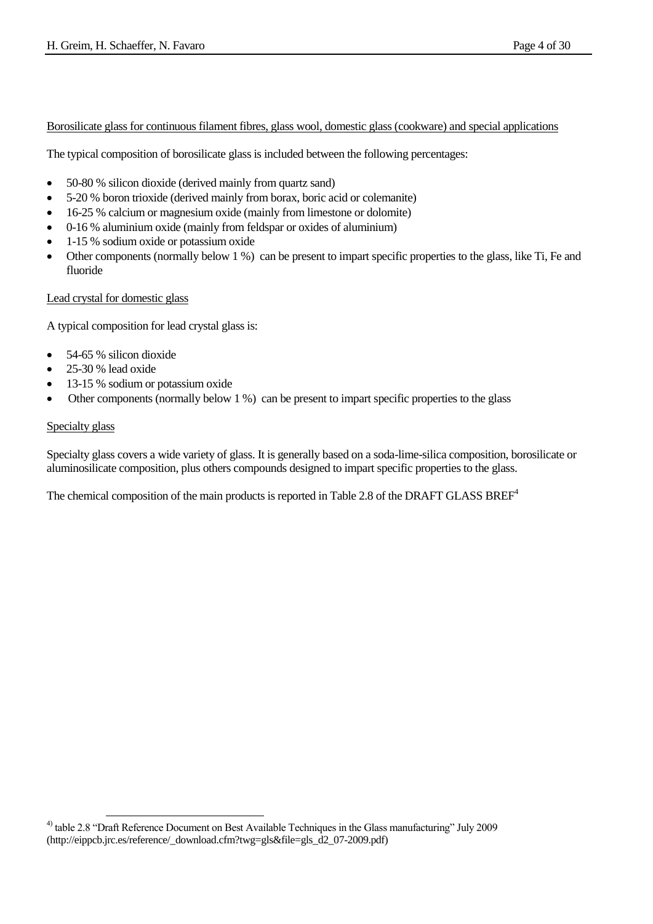#### Borosilicate glass for continuous filament fibres, glass wool, domestic glass (cookware) and special applications

The typical composition of borosilicate glass is included between the following percentages:

- 50-80 % silicon dioxide (derived mainly from quartz sand)
- 5-20 % boron trioxide (derived mainly from borax, boric acid or colemanite)
- 16-25 % calcium or magnesium oxide (mainly from limestone or dolomite)
- 0-16 % aluminium oxide (mainly from feldspar or oxides of aluminium)
- 1-15 % sodium oxide or potassium oxide
- Other components (normally below 1 %) can be present to impart specific properties to the glass, like Ti, Fe and fluoride

#### Lead crystal for domestic glass

A typical composition for lead crystal glass is:

- $\bullet$  54-65 % silicon dioxide
- 25-30 % lead oxide
- 13-15 % sodium or potassium oxide
- Other components (normally below 1 %) can be present to impart specific properties to the glass

#### Specialty glass

Specialty glass covers a wide variety of glass. It is generally based on a soda-lime-silica composition, borosilicate or aluminosilicate composition, plus others compounds designed to impart specific properties to the glass.

The chemical composition of the main products is reported in Table 2.8 of the DRAFT GLASS BREF<sup>4</sup>

 4) table 2.8 "Draft Reference Document on Best Available Techniques in the Glass manufacturing" July 2009 (http://eippcb.jrc.es/reference/\_download.cfm?twg=gls&file=gls\_d2\_07-2009.pdf)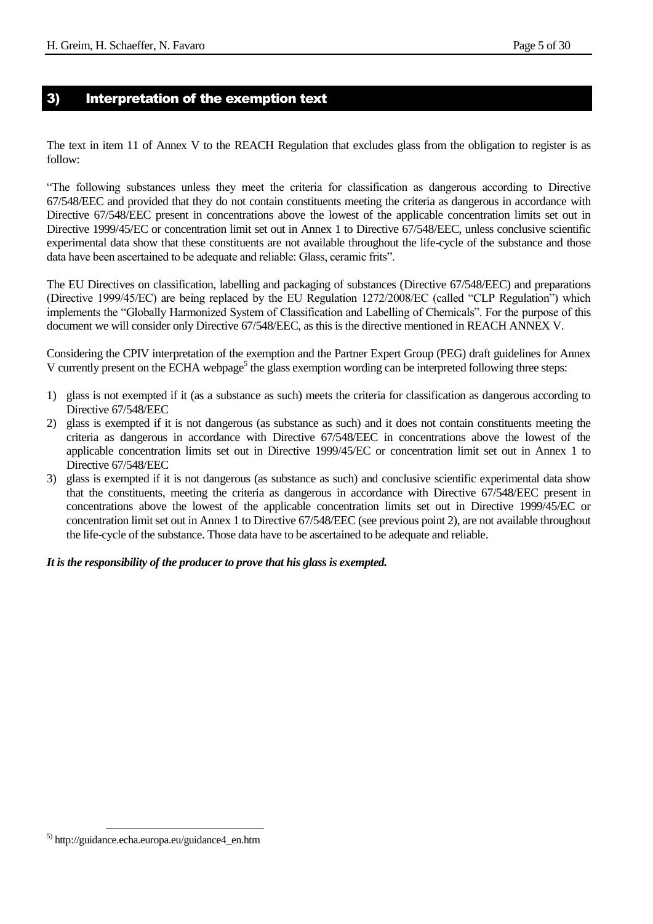#### 3) Interpretation of the exemption text

The text in item 11 of Annex V to the REACH Regulation that excludes glass from the obligation to register is as follow:

"The following substances unless they meet the criteria for classification as dangerous according to Directive 67/548/EEC and provided that they do not contain constituents meeting the criteria as dangerous in accordance with Directive 67/548/EEC present in concentrations above the lowest of the applicable concentration limits set out in Directive 1999/45/EC or concentration limit set out in Annex 1 to Directive 67/548/EEC, unless conclusive scientific experimental data show that these constituents are not available throughout the life-cycle of the substance and those data have been ascertained to be adequate and reliable: Glass, ceramic frits".

The EU Directives on classification, labelling and packaging of substances (Directive 67/548/EEC) and preparations (Directive 1999/45/EC) are being replaced by the EU Regulation 1272/2008/EC (called "CLP Regulation") which implements the "Globally Harmonized System of Classification and Labelling of Chemicals". For the purpose of this document we will consider only Directive 67/548/EEC, as this is the directive mentioned in REACH ANNEX V.

Considering the CPIV interpretation of the exemption and the Partner Expert Group (PEG) draft guidelines for Annex V currently present on the ECHA webpage<sup>5</sup> the glass exemption wording can be interpreted following three steps:

- 1) glass is not exempted if it (as a substance as such) meets the criteria for classification as dangerous according to Directive 67/548/EEC
- 2) glass is exempted if it is not dangerous (as substance as such) and it does not contain constituents meeting the criteria as dangerous in accordance with Directive 67/548/EEC in concentrations above the lowest of the applicable concentration limits set out in Directive 1999/45/EC or concentration limit set out in Annex 1 to Directive 67/548/EEC
- 3) glass is exempted if it is not dangerous (as substance as such) and conclusive scientific experimental data show that the constituents, meeting the criteria as dangerous in accordance with Directive 67/548/EEC present in concentrations above the lowest of the applicable concentration limits set out in Directive 1999/45/EC or concentration limit set out in Annex 1 to Directive 67/548/EEC (see previous point 2), are not available throughout the life-cycle of the substance. Those data have to be ascertained to be adequate and reliable.

#### *It is the responsibility of the producer to prove that his glass is exempted.*

l

<sup>5)</sup> [http://guidance.echa.europa.eu/guidance4\\_en.htm](http://guidance.echa.europa.eu/guidance4_en.htm)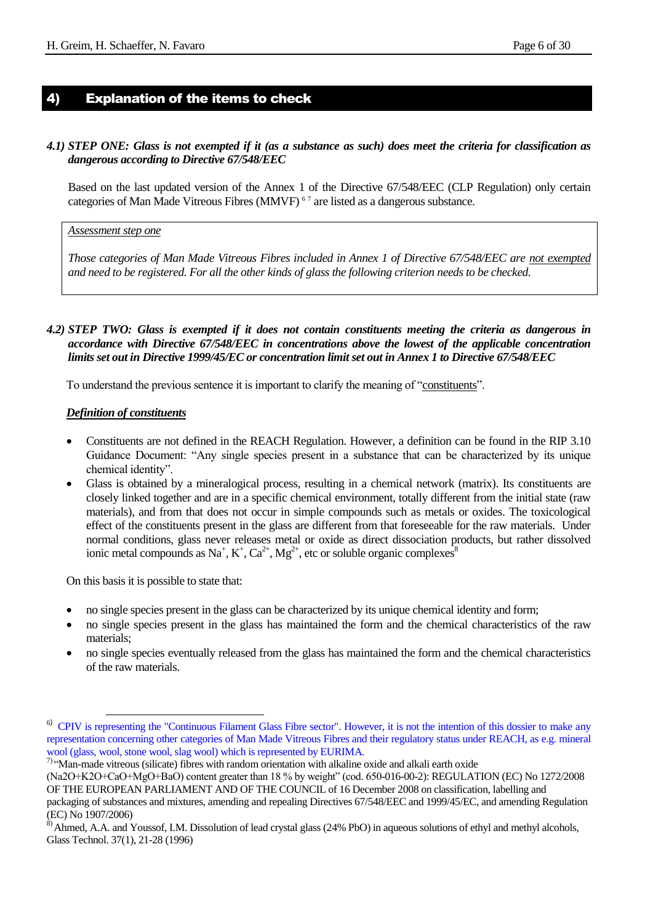#### 4) Explanation of the items to check

#### *4.1) STEP ONE: Glass is not exempted if it (as a substance as such) does meet the criteria for classification as dangerous according to Directive 67/548/EEC*

Based on the last updated version of the Annex 1 of the Directive 67/548/EEC (CLP Regulation) only certain categories of Man Made Vitreous Fibres (MMVF)<sup> $67$ </sup> are listed as a dangerous substance.

#### *Assessment step one*

*Those categories of Man Made Vitreous Fibres included in Annex 1 of Directive 67/548/EEC are not exempted and need to be registered. For all the other kinds of glass the following criterion needs to be checked.* 

#### *4.2) STEP TWO: Glass is exempted if it does not contain constituents meeting the criteria as dangerous in accordance with Directive 67/548/EEC in concentrations above the lowest of the applicable concentration limits set out in Directive 1999/45/EC or concentration limit set out in Annex 1 to Directive 67/548/EEC*

To understand the previous sentence it is important to clarify the meaning of "constituents".

#### *Definition of constituents*

- Constituents are not defined in the REACH Regulation. However, a definition can be found in the RIP 3.10 Guidance Document: "Any single species present in a substance that can be characterized by its unique chemical identity".
- Glass is obtained by a mineralogical process, resulting in a chemical network (matrix). Its constituents are closely linked together and are in a specific chemical environment, totally different from the initial state (raw materials), and from that does not occur in simple compounds such as metals or oxides. The toxicological effect of the constituents present in the glass are different from that foreseeable for the raw materials. Under normal conditions, glass never releases metal or oxide as direct dissociation products, but rather dissolved ionic metal compounds as Na<sup>+</sup>, K<sup>+</sup>, Ca<sup>2+</sup>, Mg<sup>2+</sup>, etc or soluble organic complexes<sup>8</sup>

On this basis it is possible to state that:

l

- no single species present in the glass can be characterized by its unique chemical identity and form;
- no single species present in the glass has maintained the form and the chemical characteristics of the raw materials;
- no single species eventually released from the glass has maintained the form and the chemical characteristics of the raw materials.

7) "Man-made vitreous (silicate) fibres with random orientation with alkaline oxide and alkali earth oxide

<sup>&</sup>lt;sup>6)</sup> CPIV is representing the "Continuous Filament Glass Fibre sector". However, it is not the intention of this dossier to make any representation concerning other categories of Man Made Vitreous Fibres and their regulatory status under REACH, as e.g. mineral wool (glass, wool, stone wool, slag wool) which is represented by EURIMA.

<sup>(</sup>Na2O+K2O+CaO+MgO+BaO) content greater than 18 % by weight" (cod. 650-016-00-2): REGULATION (EC) No 1272/2008 OF THE EUROPEAN PARLIAMENT AND OF THE COUNCIL of 16 December 2008 on classification, labelling and

packaging of substances and mixtures, amending and repealing Directives 67/548/EEC and 1999/45/EC, and amending Regulation (EC) No 1907/2006)

<sup>&</sup>lt;sup>8)</sup> Ahmed, A.A. and Youssof, I.M. Dissolution of lead crystal glass (24% PbO) in aqueous solutions of ethyl and methyl alcohols, Glass Technol. 37(1), 21-28 (1996)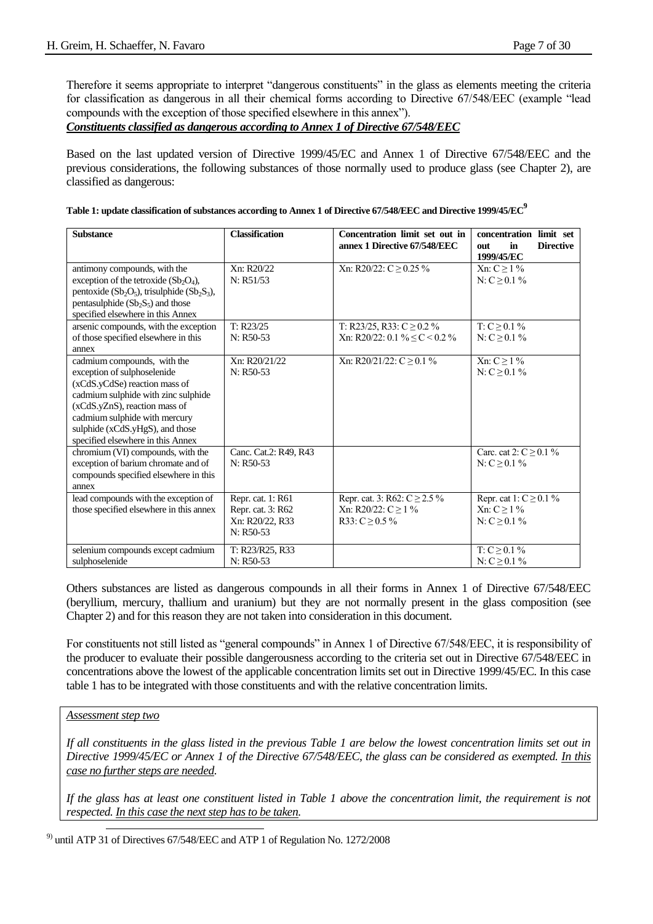Therefore it seems appropriate to interpret "dangerous constituents" in the glass as elements meeting the criteria for classification as dangerous in all their chemical forms according to Directive 67/548/EEC (example "lead compounds with the exception of those specified elsewhere in this annex").

*Constituents classified as dangerous according to Annex 1 of Directive 67/548/EEC* 

Based on the last updated version of Directive 1999/45/EC and Annex 1 of Directive 67/548/EEC and the previous considerations, the following substances of those normally used to produce glass (see Chapter 2), are classified as dangerous:

| Table 1: update classification of substances according to Annex 1 of Directive 67/548/EEC and Directive 1999/45/EC $^9$ |  |
|-------------------------------------------------------------------------------------------------------------------------|--|
|                                                                                                                         |  |

| <b>Substance</b>                                                                                                                                                                                                                                                             | <b>Classification</b>                                                    | Concentration limit set out in<br>annex 1 Directive 67/548/EEC                   | concentration limit set<br><b>Directive</b><br>in<br>out<br>1999/45/EC |
|------------------------------------------------------------------------------------------------------------------------------------------------------------------------------------------------------------------------------------------------------------------------------|--------------------------------------------------------------------------|----------------------------------------------------------------------------------|------------------------------------------------------------------------|
| antimony compounds, with the<br>exception of the tetroxide $(Sb2O4)$ ,<br>pentoxide ( $Sb_2O_5$ ), trisulphide ( $Sb_2S_3$ ),<br>pentasulphide $(Sb_2S_5)$ and those<br>specified elsewhere in this Annex                                                                    | Xn: R20/22<br>N: R51/53                                                  | Xn: R20/22: C $\geq$ 0.25 %                                                      | Xn: $C \geq 1\%$<br>$N: C > 0.1\%$                                     |
| arsenic compounds, with the exception<br>of those specified elsewhere in this<br>annex                                                                                                                                                                                       | T: R23/25<br>$N: R50-53$                                                 | T: R23/25, R33: $C \ge 0.2 \%$<br>Xn: R20/22: 0.1 % $\leq$ C < 0.2 %             | T: $C \geq 0.1 \%$<br>N: $C \geq 0.1 \%$                               |
| cadmium compounds, with the<br>exception of sulphoselenide<br>(xCdS.yCdSe) reaction mass of<br>cadmium sulphide with zinc sulphide<br>(xCdS.yZnS), reaction mass of<br>cadmium sulphide with mercury<br>sulphide (xCdS.yHgS), and those<br>specified elsewhere in this Annex | Xn: R20/21/22<br>$N: R50-53$                                             | Xn: R20/21/22: $C \ge 0.1 \%$                                                    | Xn: $C \geq 1\%$<br>N: $C \geq 0.1 \%$                                 |
| chromium (VI) compounds, with the<br>exception of barium chromate and of<br>compounds specified elsewhere in this<br>annex                                                                                                                                                   | Canc. Cat.2: R49, R43<br>$N: R50-53$                                     |                                                                                  | Carc. cat 2: $C > 0.1 \%$<br>$N: C > 0.1\%$                            |
| lead compounds with the exception of<br>those specified elsewhere in this annex                                                                                                                                                                                              | Repr. cat. 1: R61<br>Repr. cat. 3: R62<br>Xn: R20/22, R33<br>$N: R50-53$ | Repr. cat. 3: R62: $C \ge 2.5\%$<br>Xn: R20/22: $C > 1\%$<br>R33: $C \ge 0.5 \%$ | Repr. cat 1: $C \ge 0.1 \%$<br>$Xn: C > 1\%$<br>N: $C \geq 0.1 \%$     |
| selenium compounds except cadmium<br>sulphoselenide                                                                                                                                                                                                                          | T: R23/R25, R33<br>$N: R50-53$                                           |                                                                                  | $T: C \geq 0.1 \%$<br>N: $C \geq 0.1 \%$                               |

Others substances are listed as dangerous compounds in all their forms in Annex 1 of Directive 67/548/EEC (beryllium, mercury, thallium and uranium) but they are not normally present in the glass composition (see Chapter 2) and for this reason they are not taken into consideration in this document.

For constituents not still listed as "general compounds" in Annex 1 of Directive 67/548/EEC, it is responsibility of the producer to evaluate their possible dangerousness according to the criteria set out in Directive 67/548/EEC in concentrations above the lowest of the applicable concentration limits set out in Directive 1999/45/EC. In this case table 1 has to be integrated with those constituents and with the relative concentration limits.

#### *Assessment step two*

l

*If all constituents in the glass listed in the previous Table 1 are below the lowest concentration limits set out in Directive 1999/45/EC or Annex 1 of the Directive 67/548/EEC, the glass can be considered as exempted. In this case no further steps are needed.*

*If the glass has at least one constituent listed in Table 1 above the concentration limit, the requirement is not respected. In this case the next step has to be taken.*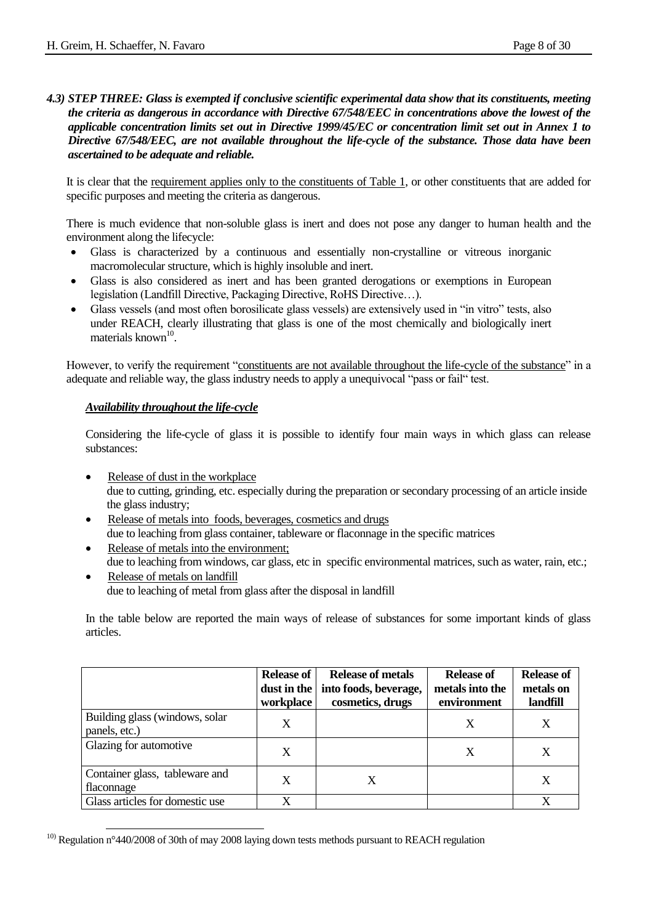#### *4.3) STEP THREE: Glass is exempted if conclusive scientific experimental data show that its constituents, meeting the criteria as dangerous in accordance with Directive 67/548/EEC in concentrations above the lowest of the applicable concentration limits set out in Directive 1999/45/EC or concentration limit set out in Annex 1 to Directive 67/548/EEC, are not available throughout the life-cycle of the substance. Those data have been ascertained to be adequate and reliable.*

It is clear that the requirement applies only to the constituents of Table 1, or other constituents that are added for specific purposes and meeting the criteria as dangerous.

There is much evidence that non-soluble glass is inert and does not pose any danger to human health and the environment along the lifecycle:

- Glass is characterized by a continuous and essentially non-crystalline or vitreous inorganic macromolecular structure, which is highly insoluble and inert.
- Glass is also considered as inert and has been granted derogations or exemptions in European legislation (Landfill Directive, Packaging Directive, RoHS Directive…).
- Glass vessels (and most often borosilicate glass vessels) are extensively used in "in vitro" tests, also under REACH, clearly illustrating that glass is one of the most chemically and biologically inert materials known<sup>10</sup>.

However, to verify the requirement "constituents are not available throughout the life-cycle of the substance" in a adequate and reliable way, the glass industry needs to apply a unequivocal "pass or fail" test.

#### *Availability throughout the life-cycle*

Considering the life-cycle of glass it is possible to identify four main ways in which glass can release substances:

- Release of dust in the workplace due to cutting, grinding, etc. especially during the preparation or secondary processing of an article inside the glass industry;
- Release of metals into foods, beverages, cosmetics and drugs due to leaching from glass container, tableware or flaconnage in the specific matrices
- Release of metals into the environment; due to leaching from windows, car glass, etc in specific environmental matrices, such as water, rain, etc.;
- Release of metals on landfill due to leaching of metal from glass after the disposal in landfill

In the table below are reported the main ways of release of substances for some important kinds of glass articles.

|                                                 | <b>Release of</b><br>dust in the<br>workplace | <b>Release of metals</b><br>into foods, beverage,<br>cosmetics, drugs | <b>Release of</b><br>metals into the<br>environment | <b>Release of</b><br>metals on<br>landfill |
|-------------------------------------------------|-----------------------------------------------|-----------------------------------------------------------------------|-----------------------------------------------------|--------------------------------------------|
| Building glass (windows, solar<br>panels, etc.) | X                                             |                                                                       | X                                                   | X                                          |
| Glazing for automotive                          | X                                             |                                                                       | X                                                   | X                                          |
| Container glass, tableware and<br>flaconnage    | X                                             | X                                                                     |                                                     | X                                          |
| Glass articles for domestic use                 | X                                             |                                                                       |                                                     | X                                          |

l <sup>10)</sup> Regulation n°440/2008 of 30th of may 2008 laying down tests methods pursuant to REACH regulation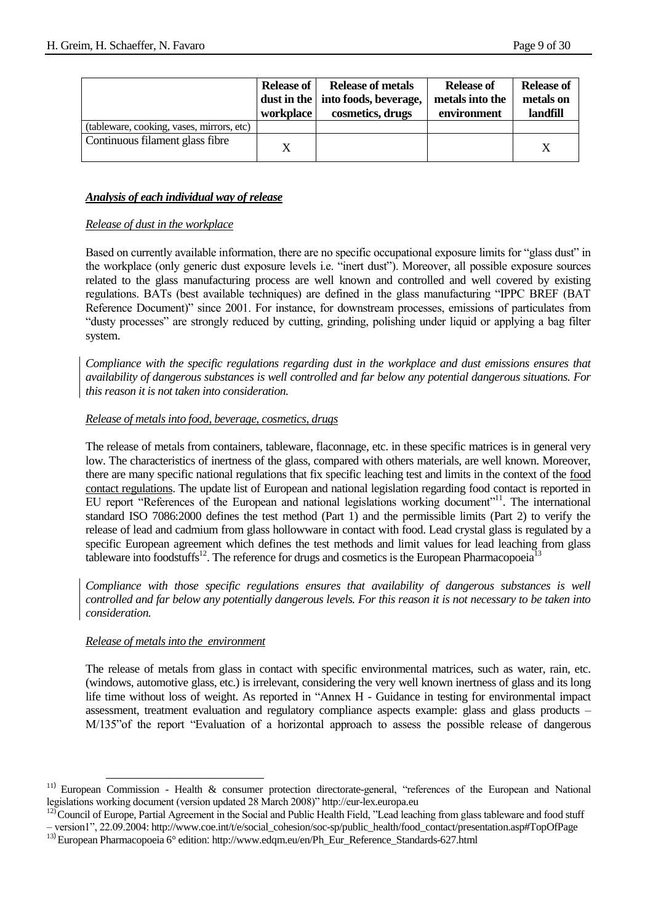|                                           | <b>Release of</b><br>workplace | <b>Release of metals</b><br>dust in the   into foods, beverage,<br>cosmetics, drugs | <b>Release of</b><br>metals into the<br>environment | <b>Release of</b><br>metals on<br>landfill |
|-------------------------------------------|--------------------------------|-------------------------------------------------------------------------------------|-----------------------------------------------------|--------------------------------------------|
| (tableware, cooking, vases, mirrors, etc) |                                |                                                                                     |                                                     |                                            |
| Continuous filament glass fibre           | X                              |                                                                                     |                                                     |                                            |

#### *Analysis of each individual way of release*

#### *Release of dust in the workplace*

Based on currently available information, there are no specific occupational exposure limits for "glass dust" in the workplace (only generic dust exposure levels i.e. "inert dust"). Moreover, all possible exposure sources related to the glass manufacturing process are well known and controlled and well covered by existing regulations. BATs (best available techniques) are defined in the glass manufacturing "IPPC BREF (BAT Reference Document)" since 2001. For instance, for downstream processes, emissions of particulates from "dusty processes" are strongly reduced by cutting, grinding, polishing under liquid or applying a bag filter system.

*Compliance with the specific regulations regarding dust in the workplace and dust emissions ensures that availability of dangerous substances is well controlled and far below any potential dangerous situations. For this reason it is not taken into consideration.* 

#### *Release of metals into food, beverage, cosmetics, drugs*

The release of metals from containers, tableware, flaconnage, etc. in these specific matrices is in general very low. The characteristics of inertness of the glass, compared with others materials, are well known. Moreover, there are many specific national regulations that fix specific leaching test and limits in the context of the food contact regulations. The update list of European and national legislation regarding food contact is reported in EU report "References of the European and national legislations working document"<sup>11</sup>. The international standard ISO 7086:2000 defines the test method (Part 1) and the permissible limits (Part 2) to verify the release of lead and cadmium from glass hollowware in contact with food. Lead crystal glass is regulated by a specific European agreement which defines the test methods and limit values for lead leaching from glass tableware into foodstuffs<sup>12</sup>. The reference for drugs and cosmetics is the European Pharmacopoeia<sup>13</sup>

*Compliance with those specific regulations ensures that availability of dangerous substances is well controlled and far below any potentially dangerous levels. For this reason it is not necessary to be taken into consideration.* 

#### *Release of metals into the environment*

l

The release of metals from glass in contact with specific environmental matrices, such as water, rain, etc. (windows, automotive glass, etc.) is irrelevant, considering the very well known inertness of glass and its long life time without loss of weight. As reported in "Annex H - Guidance in testing for environmental impact assessment, treatment evaluation and regulatory compliance aspects example: glass and glass products – M/135"of the report "Evaluation of a horizontal approach to assess the possible release of dangerous

<sup>&</sup>lt;sup>11)</sup> European Commission - Health & consumer protection directorate-general, "references of the European and National legislations working document (version updated 28 March 2008)" http://eur-lex.europa.eu

 $12)$  Council of Europe, Partial Agreement in the Social and Public Health Field, "Lead leaching from glass tableware and food stuff – version1", 22.09.2004: http://www.coe.int/t/e/social\_cohesion/soc-sp/public\_health/food\_contact/presentation.asp#TopOfPage

<sup>13</sup>) European Pharmacopoeia 6° edition: http://www.edqm.eu/en/Ph\_Eur\_Reference\_Standards-627.html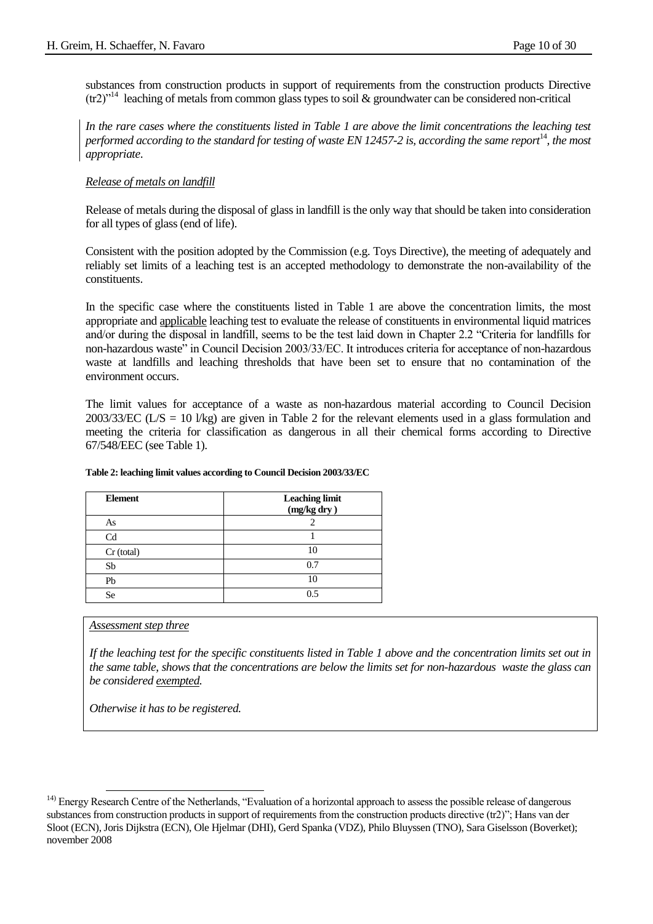substances from construction products in support of requirements from the construction products Directive (tr2)"<sup>14</sup> leaching of metals from common glass types to soil & groundwater can be considered non-critical

*In the rare cases where the constituents listed in Table 1 are above the limit concentrations the leaching test performed according to the standard for testing of waste EN 12457-2 is, according the same report*<sup>14</sup>, the most *appropriate*.

#### *Release of metals on landfill*

Release of metals during the disposal of glass in landfill is the only way that should be taken into consideration for all types of glass (end of life).

Consistent with the position adopted by the Commission (e.g. Toys Directive), the meeting of adequately and reliably set limits of a leaching test is an accepted methodology to demonstrate the non-availability of the constituents.

In the specific case where the constituents listed in Table 1 are above the concentration limits, the most appropriate and applicable leaching test to evaluate the release of constituents in environmental liquid matrices and/or during the disposal in landfill, seems to be the test laid down in Chapter 2.2 "Criteria for landfills for non-hazardous waste" in Council Decision 2003/33/EC. It introduces criteria for acceptance of non-hazardous waste at landfills and leaching thresholds that have been set to ensure that no contamination of the environment occurs.

The limit values for acceptance of a waste as non-hazardous material according to Council Decision 2003/33/EC ( $L/S = 10$  *l/kg*) are given in Table 2 for the relevant elements used in a glass formulation and meeting the criteria for classification as dangerous in all their chemical forms according to Directive 67/548/EEC (see Table 1).

| <b>Element</b> | <b>Leaching limit</b><br>$(mg/kg$ dry $)$ |
|----------------|-------------------------------------------|
| As             |                                           |
| C <sub>d</sub> |                                           |
| Cr (total)     | 10                                        |
| Sb             | 0.7                                       |
| Pb             | 10                                        |
| <b>Se</b>      | 0.5                                       |

#### **Table 2: leaching limit values according to Council Decision 2003/33/EC**

#### *Assessment step three*

l

*If the leaching test for the specific constituents listed in Table 1 above and the concentration limits set out in the same table, shows that the concentrations are below the limits set for non-hazardous waste the glass can be considered exempted.* 

*Otherwise it has to be registered.*

<sup>&</sup>lt;sup>14)</sup> Energy Research Centre of the Netherlands, "Evaluation of a horizontal approach to assess the possible release of dangerous substances from construction products in support of requirements from the construction products directive (tr2)"; Hans van der Sloot (ECN), Joris Dijkstra (ECN), Ole Hjelmar (DHI), Gerd Spanka (VDZ), Philo Bluyssen (TNO), Sara Giselsson (Boverket); november 2008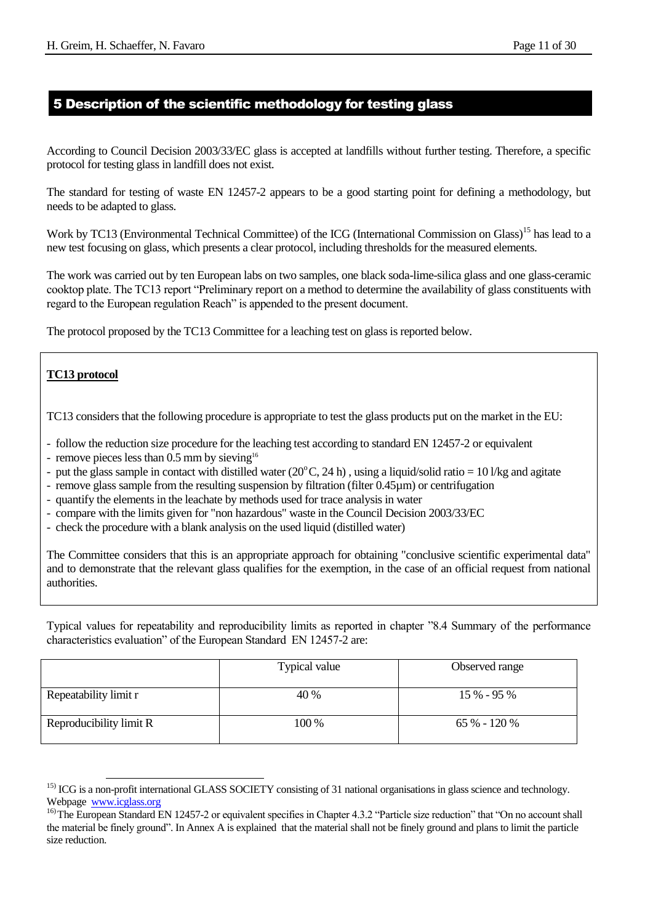#### 5 Description of the scientific methodology for testing glass

According to Council Decision 2003/33/EC glass is accepted at landfills without further testing. Therefore, a specific protocol for testing glass in landfill does not exist.

The standard for testing of waste EN 12457-2 appears to be a good starting point for defining a methodology, but needs to be adapted to glass.

Work by TC13 (Environmental Technical Committee) of the ICG (International Commission on Glass)<sup>15</sup> has lead to a new test focusing on glass, which presents a clear protocol, including thresholds for the measured elements.

The work was carried out by ten European labs on two samples, one black soda-lime-silica glass and one glass-ceramic cooktop plate. The TC13 report "Preliminary report on a method to determine the availability of glass constituents with regard to the European regulation Reach" is appended to the present document.

The protocol proposed by the TC13 Committee for a leaching test on glass is reported below.

#### **TC13 protocol**

TC13 considers that the following procedure is appropriate to test the glass products put on the market in the EU:

- follow the reduction size procedure for the leaching test according to standard EN 12457-2 or equivalent
- remove pieces less than  $0.5$  mm by sieving<sup>16</sup>
- put the glass sample in contact with distilled water  $(20^{\circ}C, 24 h)$ , using a liquid/solid ratio = 10 l/kg and agitate
- remove glass sample from the resulting suspension by filtration (filter 0.45µm) or centrifugation
- quantify the elements in the leachate by methods used for trace analysis in water
- compare with the limits given for "non hazardous" waste in the Council Decision 2003/33/EC
- check the procedure with a blank analysis on the used liquid (distilled water)

The Committee considers that this is an appropriate approach for obtaining "conclusive scientific experimental data" and to demonstrate that the relevant glass qualifies for the exemption, in the case of an official request from national authorities.

Typical values for repeatability and reproducibility limits as reported in chapter "8.4 Summary of the performance characteristics evaluation" of the European Standard EN 12457-2 are:

|                         | Typical value | Observed range |
|-------------------------|---------------|----------------|
| Repeatability limit r   | 40 %          | $15\% - 95\%$  |
| Reproducibility limit R | 100 %         | 65 % - 120 %   |

<sup>&</sup>lt;sup>15)</sup> ICG is a non-profit international GLASS SOCIETY consisting of 31 national organisations in glass science and technology. Webpage [www.icglass.org](http://www.icglass.org/)

<sup>&</sup>lt;sup>16)</sup>The European Standard EN 12457-2 or equivalent specifies in Chapter 4.3.2 "Particle size reduction" that "On no account shall the material be finely ground". In Annex A is explained that the material shall not be finely ground and plans to limit the particle size reduction.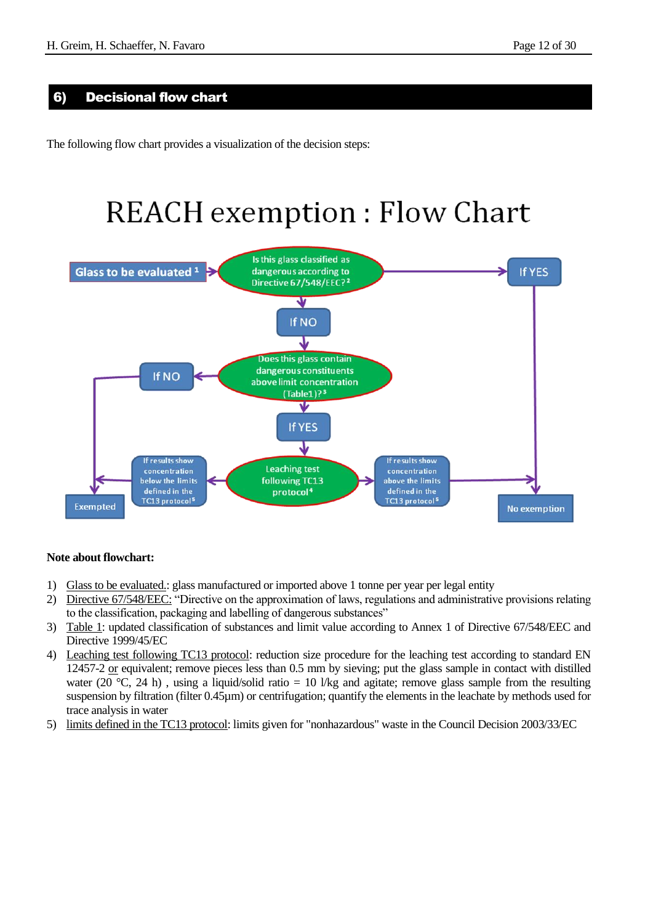#### 6) Decisional flow chart

The following flow chart provides a visualization of the decision steps:

# **REACH** exemption : Flow Chart



#### **Note about flowchart:**

- 1) Glass to be evaluated.: glass manufactured or imported above 1 tonne per year per legal entity
- 2) Directive 67/548/EEC: "Directive on the approximation of laws, regulations and administrative provisions relating to the classification, packaging and labelling of dangerous substances"
- 3) Table 1: updated classification of substances and limit value according to Annex 1 of Directive 67/548/EEC and Directive 1999/45/EC
- 4) Leaching test following TC13 protocol: reduction size procedure for the leaching test according to standard EN 12457-2 or equivalent; remove pieces less than 0.5 mm by sieving; put the glass sample in contact with distilled water (20 °C, 24 h), using a liquid/solid ratio = 10 l/kg and agitate; remove glass sample from the resulting suspension by filtration (filter 0.45µm) or centrifugation; quantify the elements in the leachate by methods used for trace analysis in water
- 5) limits defined in the TC13 protocol: limits given for "nonhazardous" waste in the Council Decision 2003/33/EC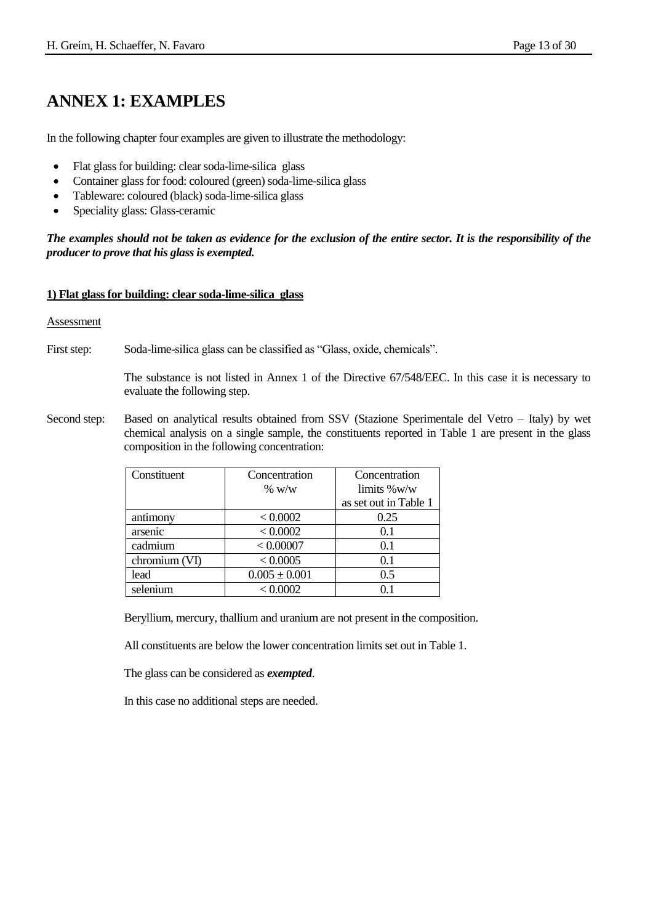# **ANNEX 1: EXAMPLES**

In the following chapter four examples are given to illustrate the methodology:

- Flat glass for building: clear soda-lime-silica glass
- Container glass for food: coloured (green) soda-lime-silica glass
- Tableware: coloured (black) soda-lime-silica glass
- Speciality glass: Glass-ceramic

*The examples should not be taken as evidence for the exclusion of the entire sector. It is the responsibility of the producer to prove that his glass is exempted.*

#### **1) Flat glass for building: clear soda-lime-silica glass**

#### Assessment

First step: Soda-lime-silica glass can be classified as "Glass, oxide, chemicals".

The substance is not listed in Annex 1 of the Directive 67/548/EEC. In this case it is necessary to evaluate the following step.

Second step: Based on analytical results obtained from SSV (Stazione Sperimentale del Vetro – Italy) by wet chemical analysis on a single sample, the constituents reported in Table 1 are present in the glass composition in the following concentration:

| Constituent   | Concentration     | Concentration         |
|---------------|-------------------|-----------------------|
|               | $\%$ w/w          | $\lim$ its %w/w       |
|               |                   | as set out in Table 1 |
| antimony      | < 0.0002          | 0.25                  |
| arsenic       | < 0.0002          | 0.1                   |
| cadmium       | < 0.00007         | 0.1                   |
| chromium (VI) | < 0.0005          | 0.1                   |
| lead          | $0.005 \pm 0.001$ | 0.5                   |
| selenium      | < 0.0002          | N 1                   |

Beryllium, mercury, thallium and uranium are not present in the composition.

All constituents are below the lower concentration limits set out in Table 1.

The glass can be considered as *exempted*.

In this case no additional steps are needed.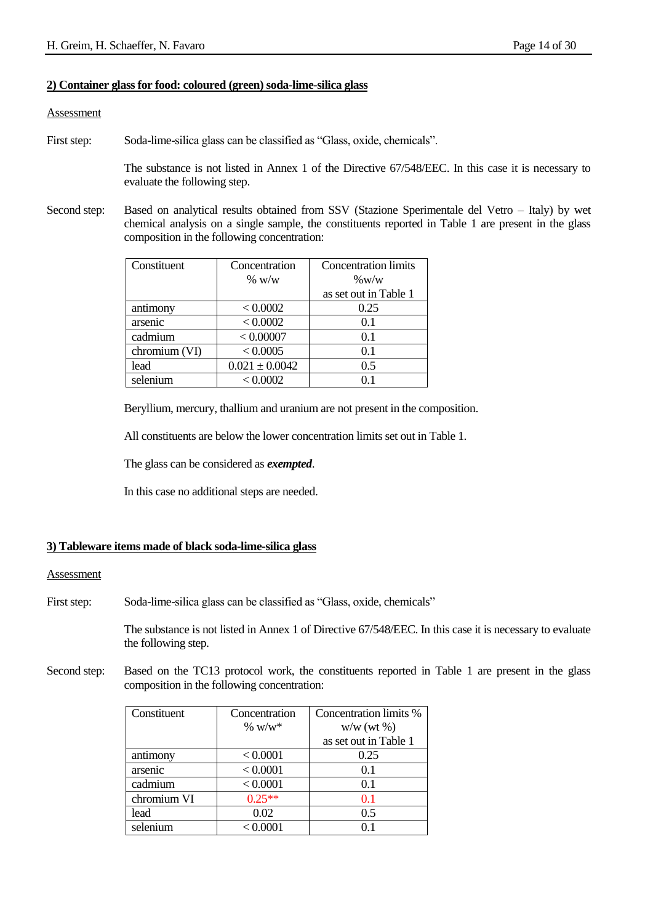#### **2) Container glass for food: coloured (green) soda-lime-silica glass**

#### **Assessment**

First step: Soda-lime-silica glass can be classified as "Glass, oxide, chemicals".

The substance is not listed in Annex 1 of the Directive 67/548/EEC. In this case it is necessary to evaluate the following step.

Second step: Based on analytical results obtained from SSV (Stazione Sperimentale del Vetro – Italy) by wet chemical analysis on a single sample, the constituents reported in Table 1 are present in the glass composition in the following concentration:

| Constituent   | Concentration      | <b>Concentration limits</b> |
|---------------|--------------------|-----------------------------|
|               | $\%$ w/w           | $\%$ W/W                    |
|               |                    | as set out in Table 1       |
| antimony      | < 0.0002           | 0.25                        |
| arsenic       | < 0.0002           | 0.1                         |
| cadmium       | < 0.00007          | 0.1                         |
| chromium (VI) | < 0.0005           | 0.1                         |
| lead          | $0.021 \pm 0.0042$ | 0.5                         |
| selenium      | < 0.0002           |                             |

Beryllium, mercury, thallium and uranium are not present in the composition.

All constituents are below the lower concentration limits set out in Table 1.

The glass can be considered as *exempted*.

In this case no additional steps are needed.

#### **3) Tableware items made of black soda-lime-silica glass**

#### Assessment

First step: Soda-lime-silica glass can be classified as "Glass, oxide, chemicals"

The substance is not listed in Annex 1 of Directive 67/548/EEC. In this case it is necessary to evaluate the following step.

Second step: Based on the TC13 protocol work, the constituents reported in Table 1 are present in the glass composition in the following concentration:

| Constituent | Concentration | Concentration limits % |
|-------------|---------------|------------------------|
|             | % $W/W^*$     | $w/w$ (wt %)           |
|             |               | as set out in Table 1  |
| antimony    | < 0.0001      | 0.25                   |
| arsenic     | < 0.0001      | 0.1                    |
| cadmium     | < 0.0001      | 0.1                    |
| chromium VI | $0.25***$     | 0.1                    |
| lead        | 0.02          | 0.5                    |
| selenium    | < 0.0001      |                        |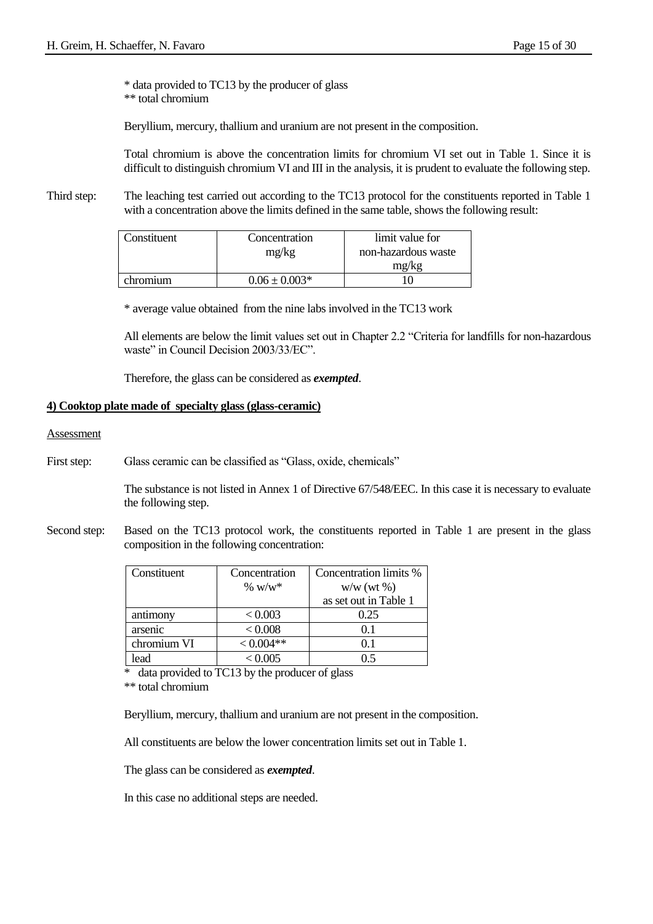\* data provided to TC13 by the producer of glass \*\* total chromium

Beryllium, mercury, thallium and uranium are not present in the composition.

Total chromium is above the concentration limits for chromium VI set out in Table 1. Since it is difficult to distinguish chromium VI and III in the analysis, it is prudent to evaluate the following step.

Third step: The leaching test carried out according to the TC13 protocol for the constituents reported in Table 1 with a concentration above the limits defined in the same table, shows the following result:

| Constituent | Concentration     | limit value for     |
|-------------|-------------------|---------------------|
|             | mg/kg             | non-hazardous waste |
|             |                   | mg/kg               |
| chromium    | $0.06 \pm 0.003*$ |                     |

\* average value obtained from the nine labs involved in the TC13 work

All elements are below the limit values set out in Chapter 2.2 "Criteria for landfills for non-hazardous waste" in Council Decision 2003/33/EC".

Therefore, the glass can be considered as *exempted*.

#### **4) Cooktop plate made of specialty glass (glass-ceramic)**

#### Assessment

First step: Glass ceramic can be classified as "Glass, oxide, chemicals"

The substance is not listed in Annex 1 of Directive 67/548/EEC. In this case it is necessary to evaluate the following step.

Second step: Based on the TC13 protocol work, the constituents reported in Table 1 are present in the glass composition in the following concentration:

| Constituent | Concentration | Concentration limits % |
|-------------|---------------|------------------------|
|             | % $W/W^*$     | $w/w$ (wt $\%$ )       |
|             |               | as set out in Table 1  |
| antimony    | < 0.003       | 0.25                   |
| arsenic     | < 0.008       | 0.1                    |
| chromium VI | $< 0.004**$   | () 1                   |
| ead         | < 0.005       |                        |

\* data provided to TC13 by the producer of glass

\*\* total chromium

Beryllium, mercury, thallium and uranium are not present in the composition.

All constituents are below the lower concentration limits set out in Table 1.

The glass can be considered as *exempted*.

In this case no additional steps are needed.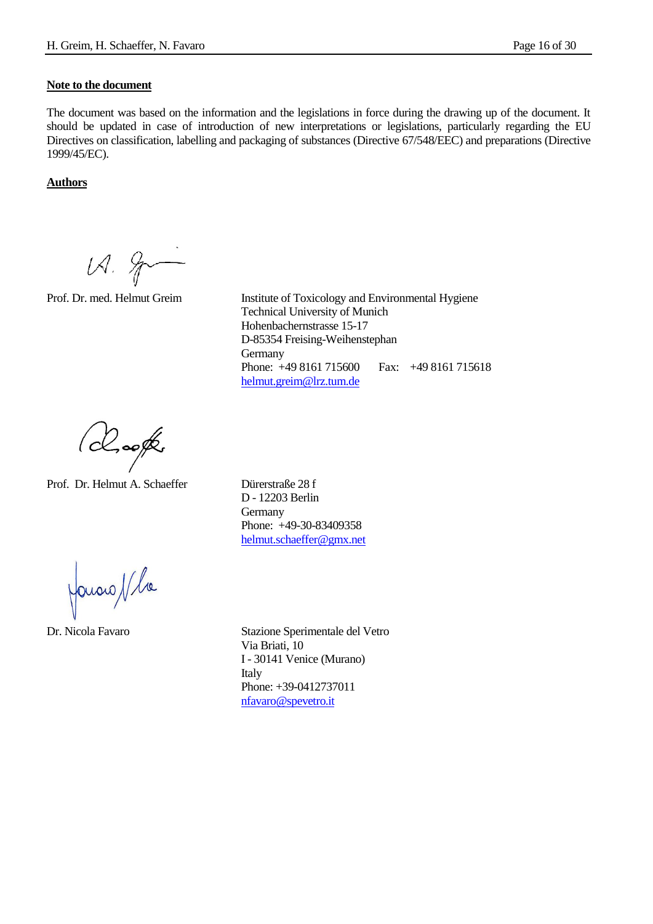#### **Note to the document**

The document was based on the information and the legislations in force during the drawing up of the document. It should be updated in case of introduction of new interpretations or legislations, particularly regarding the EU Directives on classification, labelling and packaging of substances (Directive 67/548/EEC) and preparations (Directive 1999/45/EC).

#### **Authors**

 $12.8$ 

Prof. Dr. med. Helmut Greim Institute of Toxicology and Environmental Hygiene Technical University of Munich Hohenbachernstrasse 15-17 D-85354 Freising-Weihenstephan **Germany** Phone: +49 8161 715600 Fax: +49 8161 715618 [helmut.greim@lrz.tum.de](mailto:helmut.greim@lrz.tum.de)

(chooft

Prof. Dr. Helmut A. Schaeffer Dürerstraße 28 f

D - 12203 Berlin **Germany** Phone: +49-30-83409358 [helmut.schaeffer@gmx.net](mailto:helmut.schaeffer@gmx.net)

Javaro / la

Dr. Nicola Favaro Stazione Sperimentale del Vetro Via Briati, 10 I - 30141 Venice (Murano) Italy Phone: +39-0412737011 [nfavaro@spevetro.it](mailto:nfavaro@spevetro.it)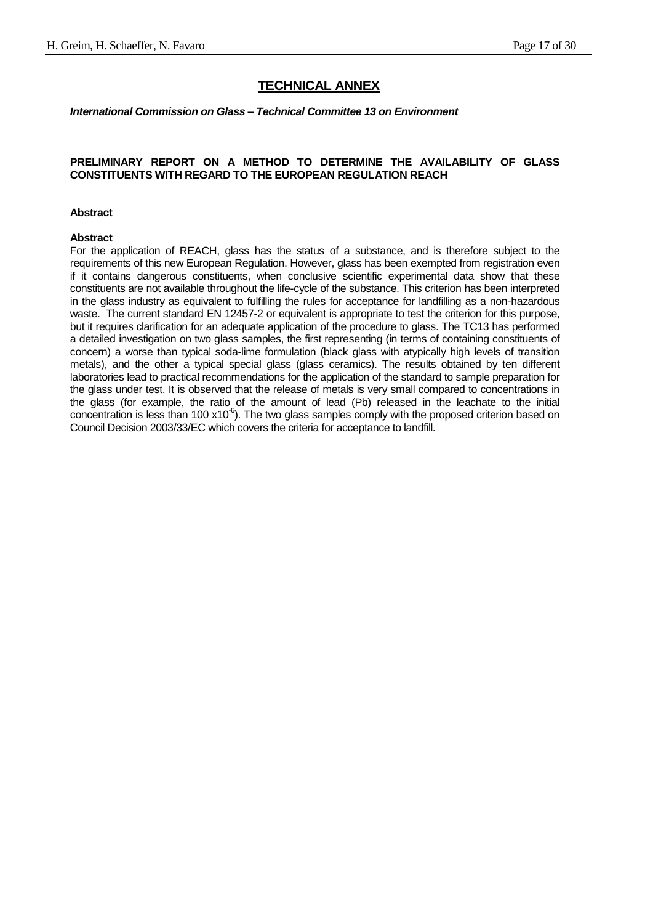#### **TECHNICAL ANNEX**

#### *International Commission on Glass – Technical Committee 13 on Environment*

#### **PRELIMINARY REPORT ON A METHOD TO DETERMINE THE AVAILABILITY OF GLASS CONSTITUENTS WITH REGARD TO THE EUROPEAN REGULATION REACH**

#### **Abstract**

#### **Abstract**

For the application of REACH, glass has the status of a substance, and is therefore subject to the requirements of this new European Regulation. However, glass has been exempted from registration even if it contains dangerous constituents, when conclusive scientific experimental data show that these constituents are not available throughout the life-cycle of the substance. This criterion has been interpreted in the glass industry as equivalent to fulfilling the rules for acceptance for landfilling as a non-hazardous waste. The current standard EN 12457-2 or equivalent is appropriate to test the criterion for this purpose, but it requires clarification for an adequate application of the procedure to glass. The TC13 has performed a detailed investigation on two glass samples, the first representing (in terms of containing constituents of concern) a worse than typical soda-lime formulation (black glass with atypically high levels of transition metals), and the other a typical special glass (glass ceramics). The results obtained by ten different laboratories lead to practical recommendations for the application of the standard to sample preparation for the glass under test. It is observed that the release of metals is very small compared to concentrations in the glass (for example, the ratio of the amount of lead (Pb) released in the leachate to the initial concentration is less than 100  $x10^{-6}$ ). The two glass samples comply with the proposed criterion based on Council Decision 2003/33/EC which covers the criteria for acceptance to landfill.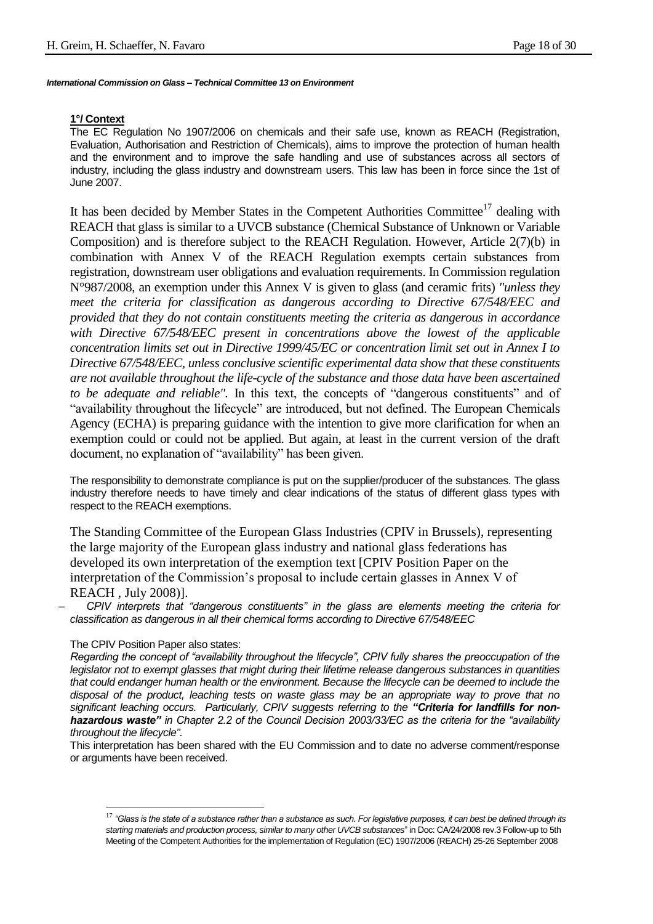#### **1°/ Context**

The EC Regulation No 1907/2006 on chemicals and their safe use, known as REACH (Registration, Evaluation, Authorisation and Restriction of Chemicals), aims to improve the protection of human health and the environment and to improve the safe handling and use of substances across all sectors of industry, including the glass industry and downstream users. This law has been in force since the 1st of June 2007.

It has been decided by Member States in the Competent Authorities Committee<sup>17</sup> dealing with REACH that glass is similar to a UVCB substance (Chemical Substance of Unknown or Variable Composition) and is therefore subject to the REACH Regulation. However, Article 2(7)(b) in combination with Annex V of the REACH Regulation exempts certain substances from registration, downstream user obligations and evaluation requirements. In Commission regulation N°987/2008, an exemption under this Annex V is given to glass (and ceramic frits) *"unless they meet the criteria for classification as dangerous according to Directive 67/548/EEC and provided that they do not contain constituents meeting the criteria as dangerous in accordance with Directive 67/548/EEC present in concentrations above the lowest of the applicable concentration limits set out in Directive 1999/45/EC or concentration limit set out in Annex I to Directive 67/548/EEC, unless conclusive scientific experimental data show that these constituents are not available throughout the life-cycle of the substance and those data have been ascertained to be adequate and reliable".* In this text, the concepts of "dangerous constituents" and of "availability throughout the lifecycle" are introduced, but not defined. The European Chemicals Agency (ECHA) is preparing guidance with the intention to give more clarification for when an exemption could or could not be applied. But again, at least in the current version of the draft document, no explanation of "availability" has been given.

The responsibility to demonstrate compliance is put on the supplier/producer of the substances. The glass industry therefore needs to have timely and clear indications of the status of different glass types with respect to the REACH exemptions.

The Standing Committee of the European Glass Industries (CPIV in Brussels), representing the large majority of the European glass industry and national glass federations has developed its own interpretation of the exemption text [CPIV Position Paper on the interpretation of the Commission's proposal to include certain glasses in Annex V of REACH , July 2008)].

– *CPIV interprets that "dangerous constituents" in the glass are elements meeting the criteria for classification as dangerous in all their chemical forms according to Directive 67/548/EEC*

#### The CPIV Position Paper also states:

l

*Regarding the concept of "availability throughout the lifecycle", CPIV fully shares the preoccupation of the legislator not to exempt glasses that might during their lifetime release dangerous substances in quantities that could endanger human health or the environment. Because the lifecycle can be deemed to include the disposal of the product, leaching tests on waste glass may be an appropriate way to prove that no significant leaching occurs. Particularly, CPIV suggests referring to the "Criteria for landfills for nonhazardous waste" in Chapter 2.2 of the Council Decision 2003/33/EC as the criteria for the "availability throughout the lifecycle".*

This interpretation has been shared with the EU Commission and to date no adverse comment/response or arguments have been received.

<sup>17</sup> *"Glass is the state of a substance rather than a substance as such. For legislative purposes, it can best be defined through its starting materials and production process, similar to many other UVCB substances*" in Doc: CA/24/2008 rev.3 Follow-up to 5th Meeting of the Competent Authorities for the implementation of Regulation (EC) 1907/2006 (REACH) 25-26 September 2008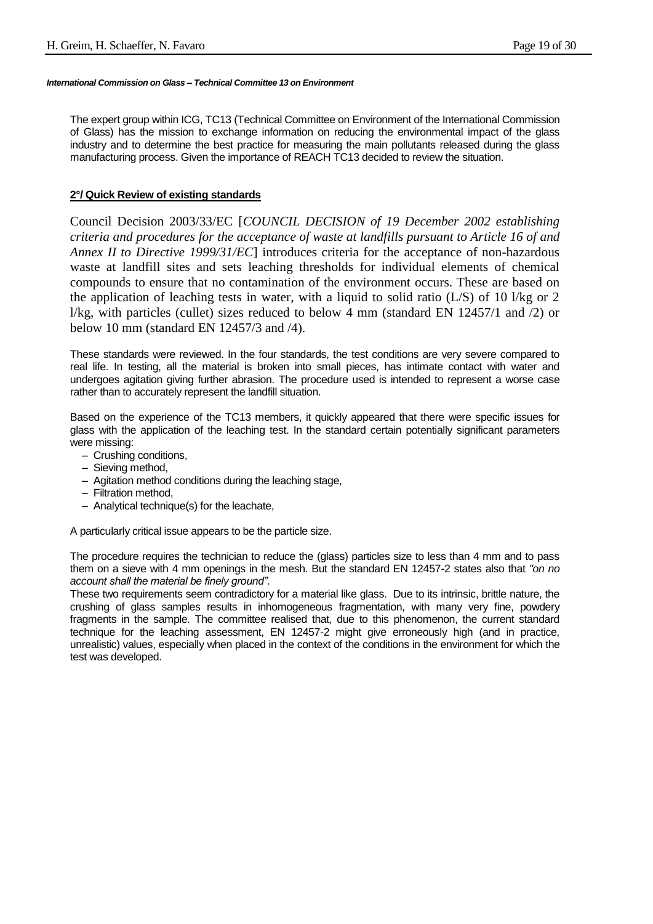The expert group within ICG, TC13 (Technical Committee on Environment of the International Commission of Glass) has the mission to exchange information on reducing the environmental impact of the glass industry and to determine the best practice for measuring the main pollutants released during the glass manufacturing process. Given the importance of REACH TC13 decided to review the situation.

#### **2°/ Quick Review of existing standards**

Council Decision 2003/33/EC [*COUNCIL DECISION of 19 December 2002 establishing criteria and procedures for the acceptance of waste at landfills pursuant to Article 16 of and Annex II to Directive 1999/31/EC*] introduces criteria for the acceptance of non-hazardous waste at landfill sites and sets leaching thresholds for individual elements of chemical compounds to ensure that no contamination of the environment occurs. These are based on the application of leaching tests in water, with a liquid to solid ratio (L/S) of 10 l/kg or 2 l/kg, with particles (cullet) sizes reduced to below 4 mm (standard EN 12457/1 and /2) or below 10 mm (standard EN 12457/3 and /4).

These standards were reviewed. In the four standards, the test conditions are very severe compared to real life. In testing, all the material is broken into small pieces, has intimate contact with water and undergoes agitation giving further abrasion. The procedure used is intended to represent a worse case rather than to accurately represent the landfill situation.

Based on the experience of the TC13 members, it quickly appeared that there were specific issues for glass with the application of the leaching test. In the standard certain potentially significant parameters were missing:

- Crushing conditions,
- Sieving method,
- Agitation method conditions during the leaching stage,
- Filtration method,
- Analytical technique(s) for the leachate,

A particularly critical issue appears to be the particle size.

The procedure requires the technician to reduce the (glass) particles size to less than 4 mm and to pass them on a sieve with 4 mm openings in the mesh. But the standard EN 12457-2 states also that *"on no account shall the material be finely ground"*.

These two requirements seem contradictory for a material like glass. Due to its intrinsic, brittle nature, the crushing of glass samples results in inhomogeneous fragmentation, with many very fine, powdery fragments in the sample. The committee realised that, due to this phenomenon, the current standard technique for the leaching assessment, EN 12457-2 might give erroneously high (and in practice, unrealistic) values, especially when placed in the context of the conditions in the environment for which the test was developed.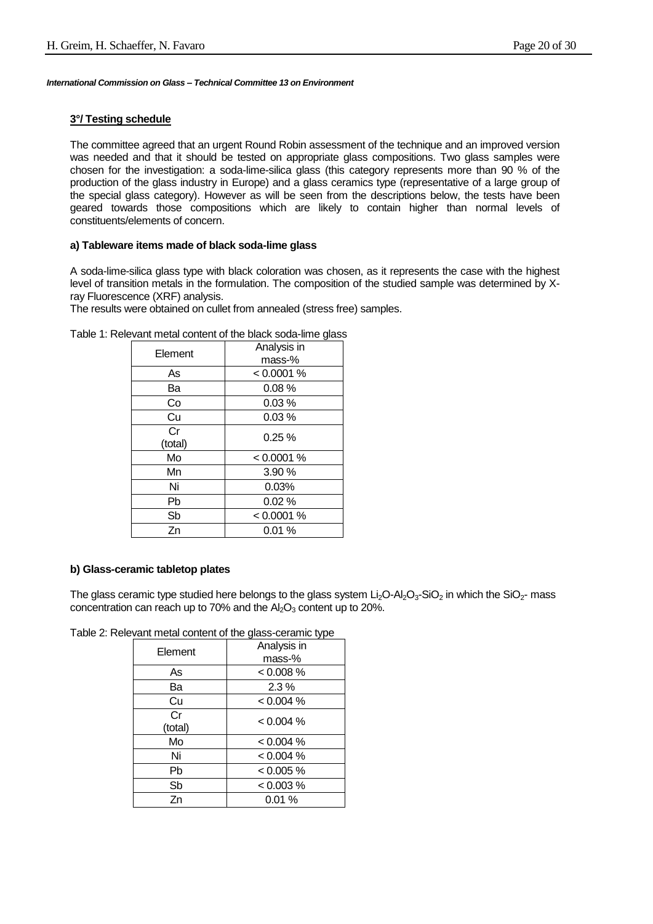#### **3°/ Testing schedule**

The committee agreed that an urgent Round Robin assessment of the technique and an improved version was needed and that it should be tested on appropriate glass compositions. Two glass samples were chosen for the investigation: a soda-lime-silica glass (this category represents more than 90 % of the production of the glass industry in Europe) and a glass ceramics type (representative of a large group of the special glass category). However as will be seen from the descriptions below, the tests have been geared towards those compositions which are likely to contain higher than normal levels of constituents/elements of concern.

#### **a) Tableware items made of black soda-lime glass**

A soda-lime-silica glass type with black coloration was chosen, as it represents the case with the highest level of transition metals in the formulation. The composition of the studied sample was determined by Xray Fluorescence (XRF) analysis.

The results were obtained on cullet from annealed (stress free) samples.

|         | sonioni or the black boad line glass |
|---------|--------------------------------------|
| Element | Analysis in                          |
|         | mass-%                               |
| As      | < 0.0001 %                           |
| Ba      | 0.08%                                |
| Co      | 0.03%                                |
| Cu      | 0.03%                                |
| Cr      | 0.25%                                |
| (total) |                                      |
| Mo      | < 0.0001 %                           |
| Mn      | 3.90 %                               |
| Ni      | 0.03%                                |
| Pb      | 0.02%                                |
| Sb      | < 0.0001 %                           |
| Zn      | 0.01%                                |
|         |                                      |

Table 1: Relevant metal content of the black soda-lime glass

#### **b) Glass-ceramic tabletop plates**

The glass ceramic type studied here belongs to the glass system  $Li<sub>2</sub>O<sub>3</sub>-SiO<sub>2</sub>$  in which the SiO<sub>2</sub>- mass concentration can reach up to 70% and the  $Al_2O_3$  content up to 20%.

Table 2: Relevant metal content of the glass-ceramic type

| Element       | Analysis in<br>mass-% |
|---------------|-----------------------|
| As            | $< 0.008\%$           |
| Ba            | $2.3\%$               |
| Cu            | < 0.004 %             |
| Cr<br>(total) | $< 0.004 \%$          |
| Mo            | < 0.004 %             |
| Ni            | < 0.004 %             |
| Pb            | < 0.005 %             |
| Sb            | < 0.003 %             |
| Zn            | 0.01%                 |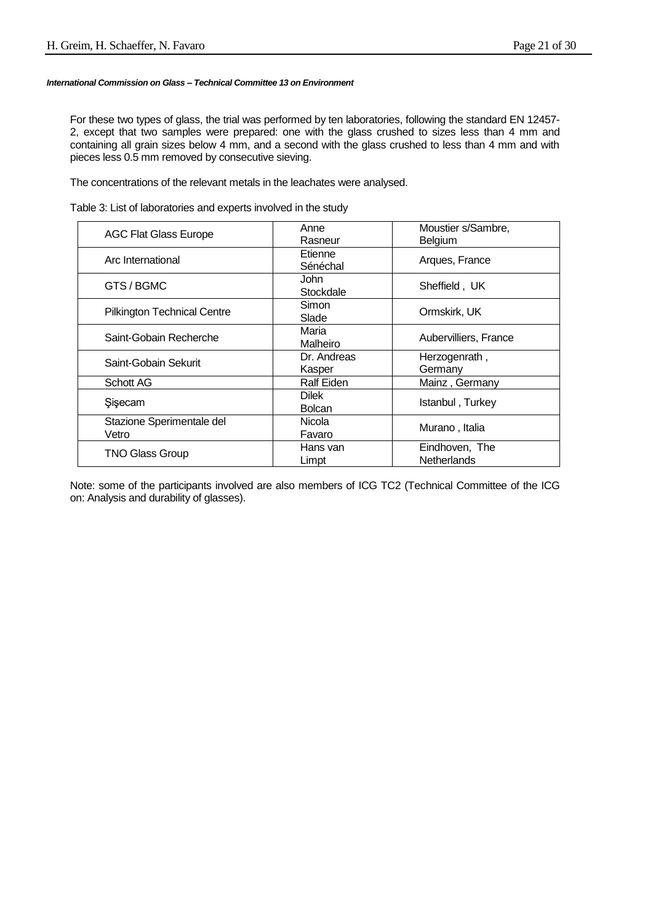For these two types of glass, the trial was performed by ten laboratories, following the standard EN 12457- 2, except that two samples were prepared: one with the glass crushed to sizes less than 4 mm and containing all grain sizes below 4 mm, and a second with the glass crushed to less than 4 mm and with pieces less 0.5 mm removed by consecutive sieving.

The concentrations of the relevant metals in the leachates were analysed.

Table 3: List of laboratories and experts involved in the study

| <b>AGC Flat Glass Europe</b>       | Anne<br>Rasneur               | Moustier s/Sambre,<br>Belgium        |
|------------------------------------|-------------------------------|--------------------------------------|
| Arc International                  | Etienne<br>Sénéchal           | Arques, France                       |
| GTS/BGMC                           | John<br>Stockdale             | Sheffield, UK                        |
| Pilkington Technical Centre        | Simon<br>Slade                | Ormskirk, UK                         |
| Saint-Gobain Recherche             | Maria<br>Malheiro             | Aubervilliers, France                |
| Saint-Gobain Sekurit               | Dr. Andreas<br>Kasper         | Herzogenrath,<br>Germany             |
| <b>Schott AG</b>                   | Ralf Eiden                    | Mainz, Germany                       |
| Sisecam                            | <b>Dilek</b><br><b>Bolcan</b> | Istanbul, Turkey                     |
| Stazione Sperimentale del<br>Vetro | Nicola<br>Favaro              | Murano , Italia                      |
| <b>TNO Glass Group</b>             | Hans van<br>Limpt             | Eindhoven, The<br><b>Netherlands</b> |

Note: some of the participants involved are also members of ICG TC2 (Technical Committee of the ICG on: Analysis and durability of glasses).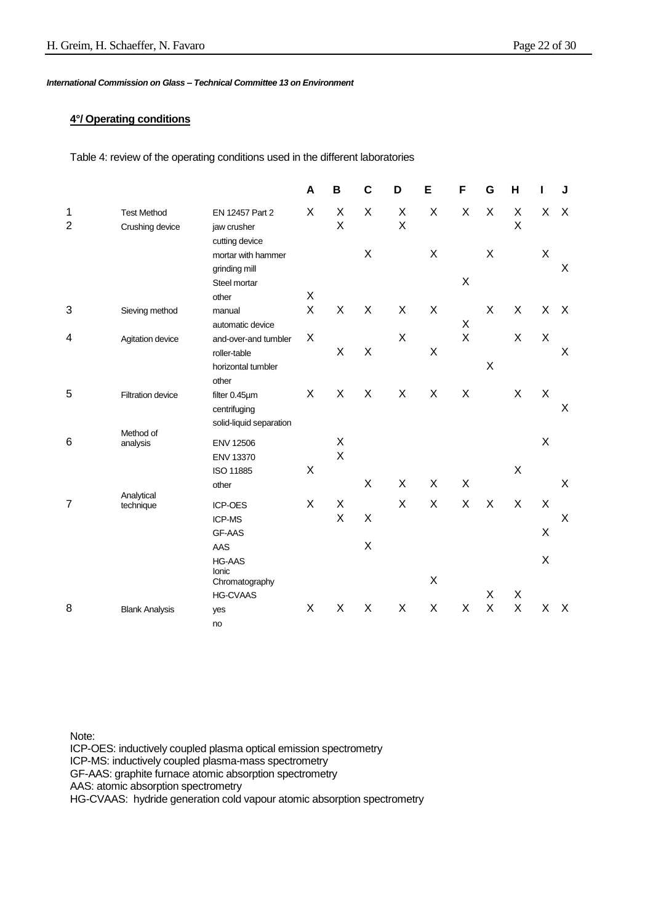#### **4°/ Operating conditions**

Table 4: review of the operating conditions used in the different laboratories

|                     |                                       |                                                       | A | B      | $\mathbf c$ | D      | E | F | G | Н                         |   | J                         |
|---------------------|---------------------------------------|-------------------------------------------------------|---|--------|-------------|--------|---|---|---|---------------------------|---|---------------------------|
| 1<br>$\overline{2}$ | <b>Test Method</b><br>Crushing device | EN 12457 Part 2<br>jaw crusher                        | X | X<br>X | X           | X<br>X | X | X | X | X<br>X                    | X | $\times$                  |
|                     |                                       | cutting device<br>mortar with hammer<br>grinding mill |   |        | X           |        | X |   | X |                           | X | X                         |
|                     |                                       | Steel mortar                                          |   |        |             |        |   | X |   |                           |   |                           |
|                     |                                       | other                                                 | Χ |        |             |        |   |   |   |                           |   |                           |
| 3                   | Sieving method                        | manual<br>automatic device                            | X | X      | X           | X      | X | Χ | X | X                         | X | $\boldsymbol{\mathsf{X}}$ |
| 4                   | Agitation device                      | and-over-and tumbler                                  | X |        |             | X      |   | X |   | X                         | X |                           |
|                     |                                       | roller-table                                          |   | X      | X           |        | X |   |   |                           |   | X                         |
|                     |                                       | horizontal tumbler<br>other                           |   |        |             |        |   |   | X |                           |   |                           |
| 5                   | <b>Filtration device</b>              | filter 0.45µm                                         | X | X      | X           | X      | X | X |   | X                         | Χ |                           |
|                     |                                       | centrifuging<br>solid-liquid separation               |   |        |             |        |   |   |   |                           |   | $\sf X$                   |
|                     | Method of                             |                                                       |   |        |             |        |   |   |   |                           | X |                           |
| 6                   | analysis                              | <b>ENV 12506</b>                                      |   | X<br>X |             |        |   |   |   |                           |   |                           |
|                     |                                       | ENV 13370                                             | X |        |             |        |   |   |   | $\boldsymbol{\mathsf{X}}$ |   |                           |
|                     |                                       | ISO 11885<br>other                                    |   |        | X           | X      | X | X |   |                           |   | X                         |
|                     | Analytical                            |                                                       |   |        |             |        |   |   |   |                           |   |                           |
| $\overline{7}$      | technique                             | ICP-OES                                               | X | X      |             | X      | X | X | X | X                         | X |                           |
|                     |                                       | ICP-MS                                                |   | X      | X           |        |   |   |   |                           |   | $\mathsf X$               |
|                     |                                       | <b>GF-AAS</b>                                         |   |        |             |        |   |   |   |                           | X |                           |
|                     |                                       | AAS                                                   |   |        | X           |        |   |   |   |                           |   |                           |
|                     |                                       | <b>HG-AAS</b><br>Ionic                                |   |        |             |        | X |   |   |                           | X |                           |
|                     |                                       | Chromatography                                        |   |        |             |        |   |   | X | X                         |   |                           |
|                     |                                       | <b>HG-CVAAS</b>                                       |   |        | X           | X      | X | X | X | X                         |   |                           |
| 8                   | <b>Blank Analysis</b>                 | yes                                                   | X | X      |             |        |   |   |   |                           | X | $\mathsf{X}$              |
|                     |                                       | no                                                    |   |        |             |        |   |   |   |                           |   |                           |

Note:

ICP-OES: inductively coupled plasma optical emission spectrometry ICP-MS: inductively coupled plasma-mass spectrometry GF-AAS: graphite furnace atomic absorption spectrometry AAS: atomic absorption spectrometry HG-CVAAS: hydride generation cold vapour atomic absorption spectrometry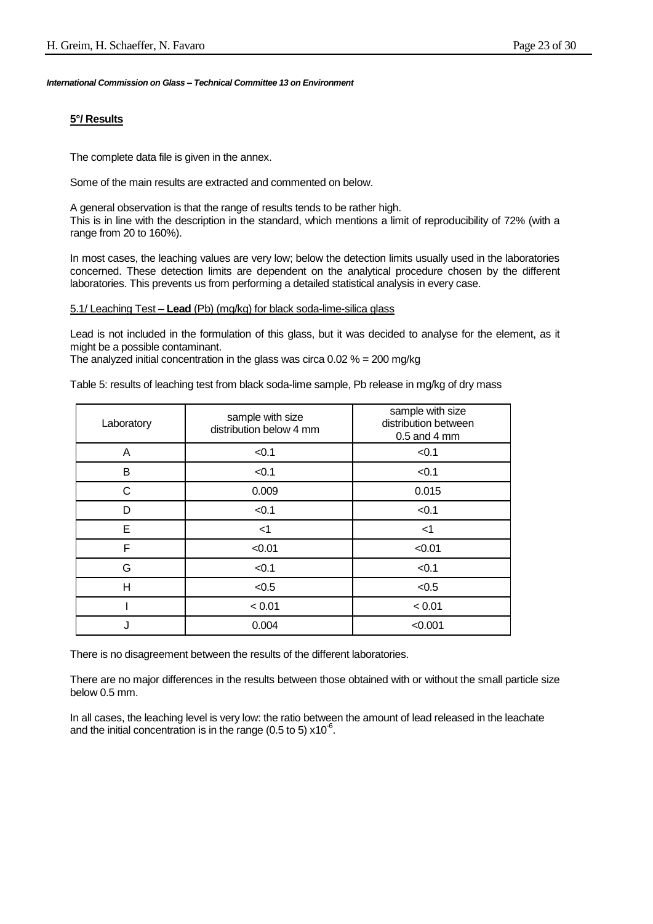#### **5°/ Results**

The complete data file is given in the annex.

Some of the main results are extracted and commented on below.

A general observation is that the range of results tends to be rather high. This is in line with the description in the standard, which mentions a limit of reproducibility of 72% (with a range from 20 to 160%).

In most cases, the leaching values are very low; below the detection limits usually used in the laboratories concerned. These detection limits are dependent on the analytical procedure chosen by the different laboratories. This prevents us from performing a detailed statistical analysis in every case.

#### 5.1/ Leaching Test – **Lead** (Pb) (mg/kg) for black soda-lime-silica glass

Lead is not included in the formulation of this glass, but it was decided to analyse for the element, as it might be a possible contaminant.

The analyzed initial concentration in the glass was circa  $0.02\% = 200$  mg/kg

Table 5: results of leaching test from black soda-lime sample, Pb release in mg/kg of dry mass

| Laboratory  | sample with size<br>distribution below 4 mm | sample with size<br>distribution between<br>$0.5$ and 4 mm |
|-------------|---------------------------------------------|------------------------------------------------------------|
| A           | < 0.1                                       | < 0.1                                                      |
| В           | < 0.1                                       | < 0.1                                                      |
| $\mathsf C$ | 0.009                                       | 0.015                                                      |
| D           | < 0.1                                       | < 0.1                                                      |
| E           | $<$ 1                                       | $<$ 1                                                      |
| F           | < 0.01                                      | < 0.01                                                     |
| G           | < 0.1                                       | < 0.1                                                      |
| H           | < 0.5                                       | < 0.5                                                      |
|             | < 0.01                                      | < 0.01                                                     |
| J           | 0.004                                       | < 0.001                                                    |

There is no disagreement between the results of the different laboratories.

There are no major differences in the results between those obtained with or without the small particle size below 0.5 mm.

In all cases, the leaching level is very low: the ratio between the amount of lead released in the leachate and the initial concentration is in the range (0.5 to 5)  $x10^{-6}$ .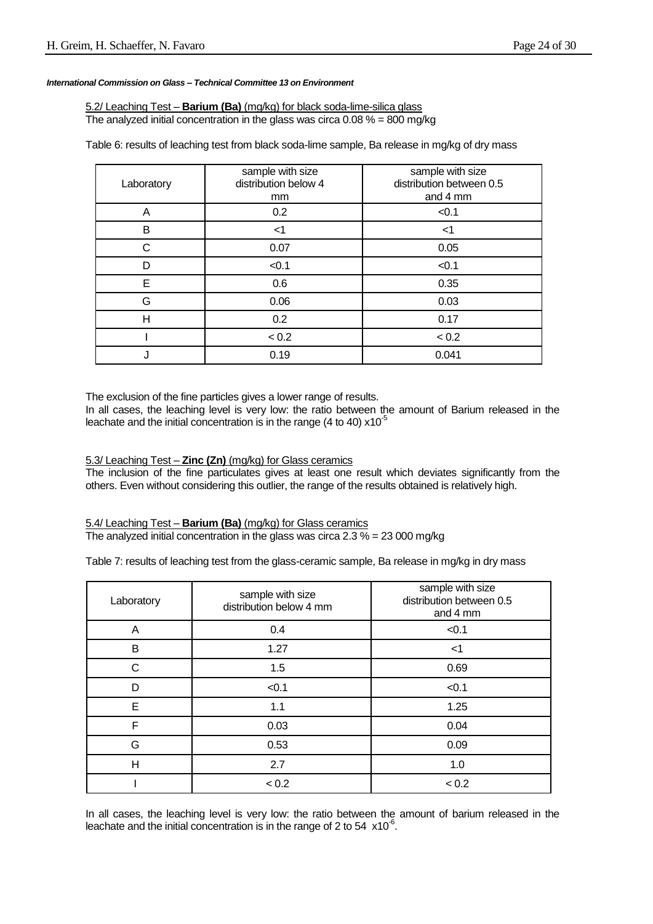5.2/ Leaching Test – **Barium (Ba)** (mg/kg) for black soda-lime-silica glass The analyzed initial concentration in the glass was circa  $0.08\% = 800 \text{ mg/kg}$ 

Table 6: results of leaching test from black soda-lime sample, Ba release in mg/kg of dry mass

| Laboratory | sample with size<br>distribution below 4<br>mm | sample with size<br>distribution between 0.5<br>and 4 mm |  |  |
|------------|------------------------------------------------|----------------------------------------------------------|--|--|
| A          | 0.2                                            | < 0.1                                                    |  |  |
| В          | $<$ 1                                          | <1                                                       |  |  |
| C          | 0.07                                           | 0.05                                                     |  |  |
| D          | < 0.1                                          | < 0.1                                                    |  |  |
| E          | 0.6                                            | 0.35                                                     |  |  |
| G          | 0.06                                           | 0.03                                                     |  |  |
| H          | 0.2                                            | 0.17                                                     |  |  |
|            | < 0.2                                          | < 0.2                                                    |  |  |
|            | 0.19                                           | 0.041                                                    |  |  |

The exclusion of the fine particles gives a lower range of results.

In all cases, the leaching level is very low: the ratio between the amount of Barium released in the leachate and the initial concentration is in the range (4 to 40)  $x10^{-5}$ 

5.3/ Leaching Test – **Zinc (Zn)** (mg/kg) for Glass ceramics

The inclusion of the fine particulates gives at least one result which deviates significantly from the others. Even without considering this outlier, the range of the results obtained is relatively high.

5.4/ Leaching Test – **Barium (Ba)** (mg/kg) for Glass ceramics The analyzed initial concentration in the glass was circa 2.3 % = 23 000 mg/kg

Table 7: results of leaching test from the glass-ceramic sample, Ba release in mg/kg in dry mass

| Laboratory | sample with size<br>distribution below 4 mm | sample with size<br>distribution between 0.5<br>and 4 mm |
|------------|---------------------------------------------|----------------------------------------------------------|
| A          | 0.4                                         | < 0.1                                                    |
| B          | 1.27                                        | <1                                                       |
| С          | 1.5                                         | 0.69                                                     |
| D          | < 0.1                                       | < 0.1                                                    |
| E          | 1.1                                         | 1.25                                                     |
| F          | 0.03                                        | 0.04                                                     |
| G          | 0.53                                        | 0.09                                                     |
| H          | 2.7                                         | 1.0                                                      |
|            | < 0.2                                       | < 0.2                                                    |

In all cases, the leaching level is very low: the ratio between the amount of barium released in the leachate and the initial concentration is in the range of 2 to 54  $\times10^{-6}$ .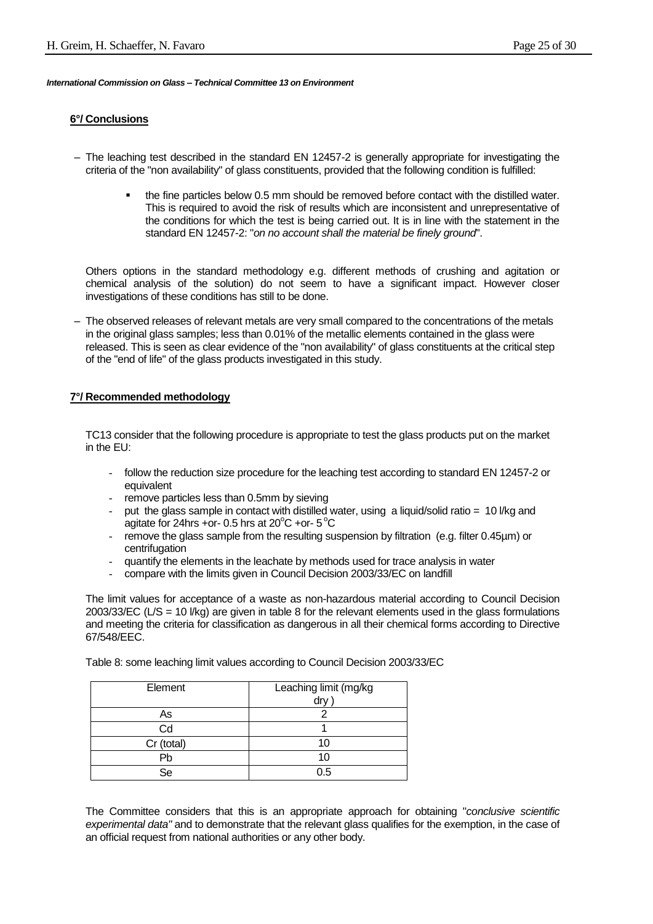#### **6°/ Conclusions**

- The leaching test described in the standard EN 12457-2 is generally appropriate for investigating the criteria of the "non availability" of glass constituents, provided that the following condition is fulfilled:
	- the fine particles below 0.5 mm should be removed before contact with the distilled water. This is required to avoid the risk of results which are inconsistent and unrepresentative of the conditions for which the test is being carried out. It is in line with the statement in the standard EN 12457-2: "*on no account shall the material be finely ground*".

Others options in the standard methodology e.g. different methods of crushing and agitation or chemical analysis of the solution) do not seem to have a significant impact. However closer investigations of these conditions has still to be done.

– The observed releases of relevant metals are very small compared to the concentrations of the metals in the original glass samples; less than 0.01% of the metallic elements contained in the glass were released. This is seen as clear evidence of the "non availability" of glass constituents at the critical step of the "end of life" of the glass products investigated in this study.

#### **7°/ Recommended methodology**

TC13 consider that the following procedure is appropriate to test the glass products put on the market in the EU:

- follow the reduction size procedure for the leaching test according to standard EN 12457-2 or equivalent
- remove particles less than 0.5mm by sieving
- put the glass sample in contact with distilled water, using a liquid/solid ratio = 10 l/kg and agitate for 24hrs +or- 0.5 hrs at 20 $^{\circ}$ C +or- 5 $^{\circ}$ C
- remove the glass sample from the resulting suspension by filtration (e.g. filter 0.45µm) or centrifugation
- quantify the elements in the leachate by methods used for trace analysis in water
- compare with the limits given in Council Decision 2003/33/EC on landfill

The limit values for acceptance of a waste as non-hazardous material according to Council Decision 2003/33/EC (L/S = 10 l/kg) are given in table 8 for the relevant elements used in the glass formulations and meeting the criteria for classification as dangerous in all their chemical forms according to Directive 67/548/EEC.

Table 8: some leaching limit values according to Council Decision 2003/33/EC

| Element    | Leaching limit (mg/kg<br>drv |
|------------|------------------------------|
| As         |                              |
| Cd         |                              |
| Cr (total) | 10                           |
| Pb         | 10                           |
| Se         | ი 5                          |

The Committee considers that this is an appropriate approach for obtaining "*conclusive scientific experimental data"* and to demonstrate that the relevant glass qualifies for the exemption, in the case of an official request from national authorities or any other body.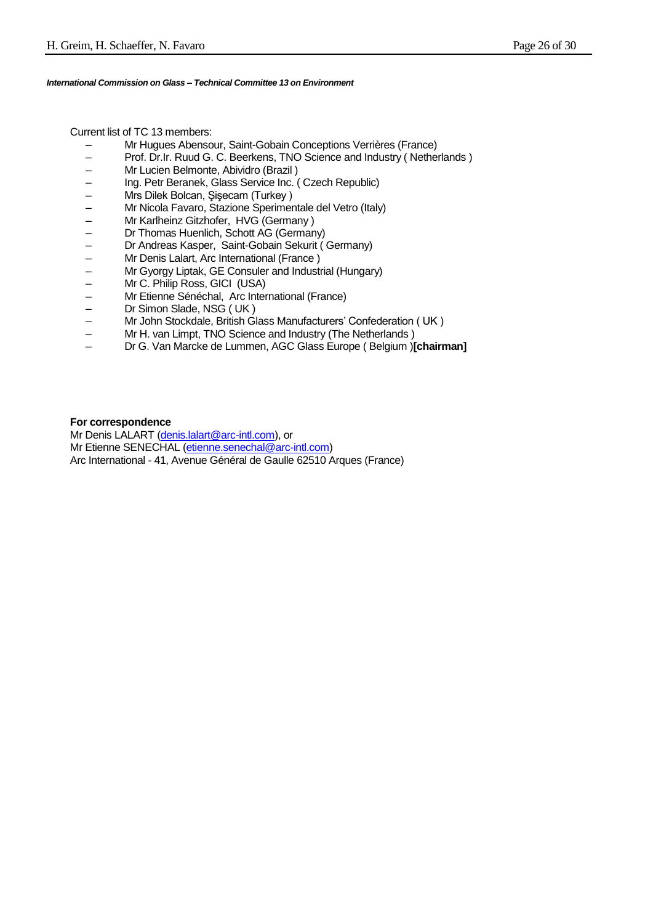Current list of TC 13 members:

- Mr Hugues Abensour, Saint-Gobain Conceptions Verrières (France)
- Prof. Dr.Ir. Ruud G. C. Beerkens, TNO Science and Industry ( Netherlands )
- Mr Lucien Belmonte, Abividro (Brazil )
- Ing. Petr Beranek, Glass Service Inc. ( Czech Republic)
- Mrs Dilek Bolcan, Şişecam (Turkey )
- Mr Nicola Favaro, Stazione Sperimentale del Vetro (Italy)
- 
- Mr Karlheinz Gitzhofer, HVG (Germany )<br>– Dr Thomas Huenlich, Schott AG (German<br>– Dr Andreas Kasper, Saint-Gobain Sekurit – Dr Thomas Huenlich, Schott AG (Germany)
- Dr Andreas Kasper, Saint-Gobain Sekurit ( Germany)
- Mr Denis Lalart, Arc International (France )
- Mr Gyorgy Liptak, GE Consuler and Industrial (Hungary)
- Mr C. Philip Ross, GICI (USA)
- Mr Etienne Sénéchal, Arc International (France)
- Dr Simon Slade, NSG ( UK )
- Mr John Stockdale, British Glass Manufacturers' Confederation ( UK )
- Mr H. van Limpt, TNO Science and Industry (The Netherlands )
- Dr G. Van Marcke de Lummen, AGC Glass Europe ( Belgium )**[chairman]**

#### **For correspondence**

Mr Denis LALART [\(denis.lalart@arc-intl.com\)](mailto:denis.lalart@arc-intl.com), or Mr Etienne SENECHAL [\(etienne.senechal@arc-intl.com\)](mailto:etienne.senechal@arc-intl.com) Arc International - 41, Avenue Général de Gaulle 62510 Arques (France)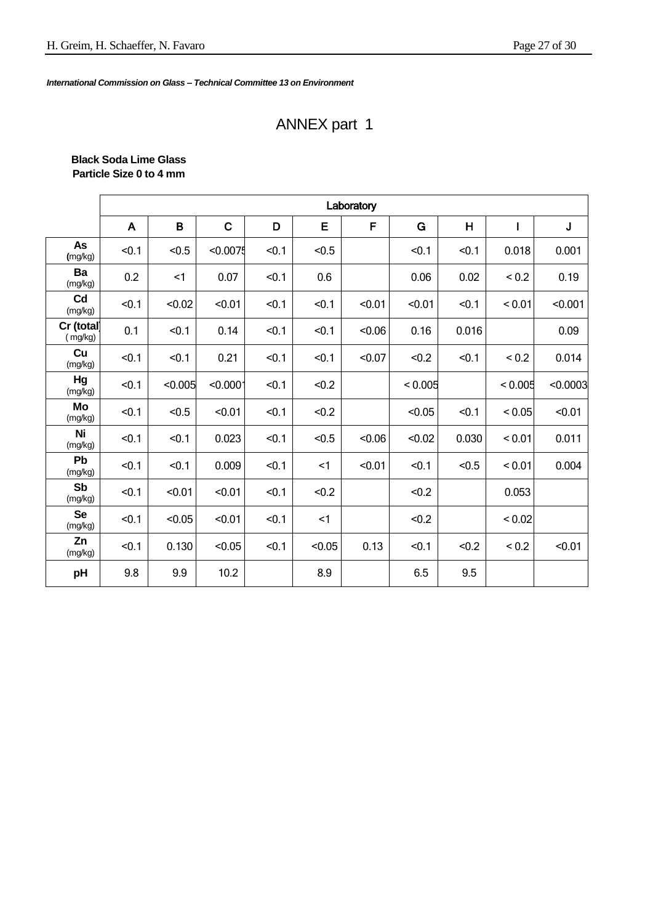# ANNEX part 1

| <b>Black Soda Lime Glass</b> |  |
|------------------------------|--|
| Particle Size 0 to 4 mm      |  |

|                       | Laboratory |         |             |       |        |        |         |       |            |          |  |  |
|-----------------------|------------|---------|-------------|-------|--------|--------|---------|-------|------------|----------|--|--|
|                       | A          | B       | $\mathbf C$ | D     | E      | F      | G       | H     |            | J        |  |  |
| As<br>(mg/kg)         | < 0.1      | < 0.5   | < 0.0075    | < 0.1 | < 0.5  |        | < 0.1   | < 0.1 | 0.018      | 0.001    |  |  |
| Ba<br>(mg/kg)         | 0.2        | <1      | 0.07        | < 0.1 | 0.6    |        | 0.06    | 0.02  | ${}_{0.2}$ | 0.19     |  |  |
| Cd<br>(mg/kg)         | < 0.1      | < 0.02  | < 0.01      | < 0.1 | < 0.1  | < 0.01 | < 0.01  | < 0.1 | < 0.01     | < 0.001  |  |  |
| Cr (total)<br>(mg/kg) | 0.1        | < 0.1   | 0.14        | < 0.1 | < 0.1  | < 0.06 | 0.16    | 0.016 |            | 0.09     |  |  |
| Cu<br>(mg/kg)         | < 0.1      | < 0.1   | 0.21        | < 0.1 | < 0.1  | < 0.07 | < 0.2   | < 0.1 | ${}_{0.2}$ | 0.014    |  |  |
| Hg<br>(mg/kg)         | < 0.1      | < 0.005 | < 0.0001    | < 0.1 | < 0.2  |        | < 0.005 |       | < 0.005    | < 0.0003 |  |  |
| Mo<br>(mg/kg)         | < 0.1      | < 0.5   | < 0.01      | < 0.1 | < 0.2  |        | < 0.05  | < 0.1 | < 0.05     | < 0.01   |  |  |
| Ni<br>(mg/kg)         | < 0.1      | < 0.1   | 0.023       | < 0.1 | < 0.5  | < 0.06 | < 0.02  | 0.030 | < 0.01     | 0.011    |  |  |
| Pb<br>(mg/kg)         | < 0.1      | < 0.1   | 0.009       | < 0.1 | $<$ 1  | < 0.01 | < 0.1   | < 0.5 | < 0.01     | 0.004    |  |  |
| Sb<br>(mg/kg)         | < 0.1      | < 0.01  | < 0.01      | < 0.1 | < 0.2  |        | < 0.2   |       | 0.053      |          |  |  |
| <b>Se</b><br>(mg/kg)  | < 0.1      | < 0.05  | < 0.01      | < 0.1 | $<$ 1  |        | < 0.2   |       | < 0.02     |          |  |  |
| Zn<br>(mg/kg)         | < 0.1      | 0.130   | < 0.05      | < 0.1 | < 0.05 | 0.13   | < 0.1   | < 0.2 | ${}_{0.2}$ | < 0.01   |  |  |
| pH                    | 9.8        | 9.9     | 10.2        |       | 8.9    |        | 6.5     | 9.5   |            |          |  |  |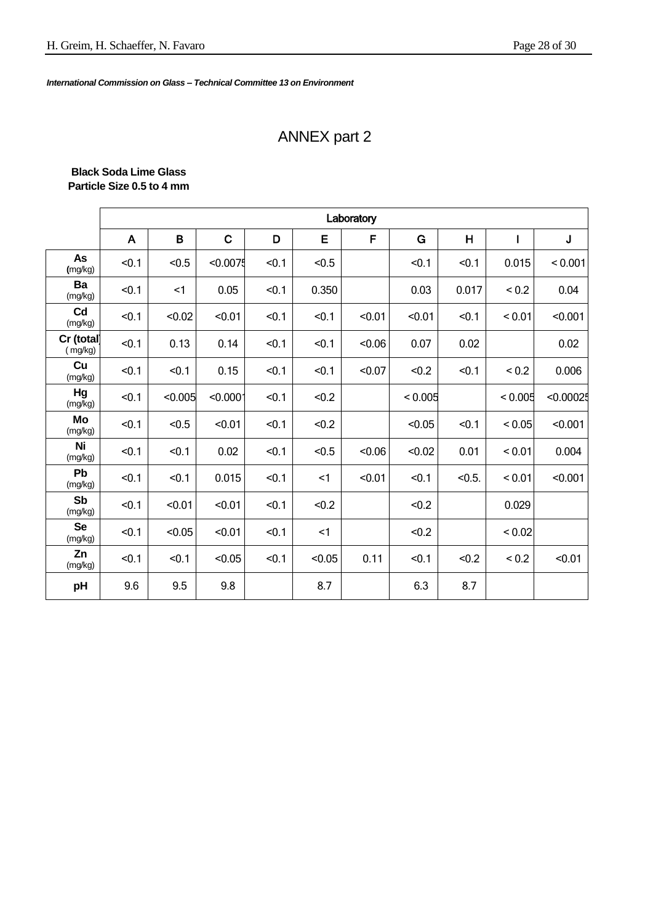# ANNEX part 2

#### **Black Soda Lime Glass Particle Size 0.5 to 4 mm**

|                       | Laboratory   |         |             |       |        |         |         |        |            |             |  |  |  |
|-----------------------|--------------|---------|-------------|-------|--------|---------|---------|--------|------------|-------------|--|--|--|
|                       | $\mathsf{A}$ | B       | $\mathbf C$ | D     | E      | F       | G       | H      | L          | $\mathsf J$ |  |  |  |
| As<br>(mg/kg)         | < 0.1        | < 0.5   | < 0.0075    | < 0.1 | < 0.5  |         | < 0.1   | < 0.1  | 0.015      | < 0.001     |  |  |  |
| Ba<br>(mg/kg)         | < 0.1        | $<$ 1   | 0.05        | < 0.1 | 0.350  |         | 0.03    | 0.017  | ${}_{0.2}$ | 0.04        |  |  |  |
| Cd<br>(mg/kg)         | < 0.1        | < 0.02  | < 0.01      | < 0.1 | < 0.1  | < 0.01  | < 0.01  | < 0.1  | < 0.01     | < 0.001     |  |  |  |
| Cr (total)<br>(mg/kg) | < 0.1        | 0.13    | 0.14        | < 0.1 | < 0.1  | $-0.06$ | 0.07    | 0.02   |            | 0.02        |  |  |  |
| Cu<br>(mg/kg)         | < 0.1        | < 0.1   | 0.15        | < 0.1 | < 0.1  | < 0.07  | < 0.2   | < 0.1  | ${}_{0.2}$ | 0.006       |  |  |  |
| Hg<br>(mg/kg)         | < 0.1        | < 0.005 | < 0.0001    | < 0.1 | < 0.2  |         | < 0.005 |        | < 0.005    | < 0.00025   |  |  |  |
| Mo<br>(mg/kg)         | < 0.1        | < 0.5   | < 0.01      | < 0.1 | < 0.2  |         | < 0.05  | < 0.1  | < 0.05     | < 0.001     |  |  |  |
| Ni<br>(mg/kg)         | < 0.1        | < 0.1   | 0.02        | < 0.1 | < 0.5  | < 0.06  | < 0.02  | 0.01   | < 0.01     | 0.004       |  |  |  |
| Pb<br>(mg/kg)         | < 0.1        | < 0.1   | 0.015       | < 0.1 | $<$ 1  | < 0.01  | < 0.1   | < 0.5. | < 0.01     | < 0.001     |  |  |  |
| <b>Sb</b><br>(mg/kg)  | < 0.1        | < 0.01  | < 0.01      | < 0.1 | < 0.2  |         | < 0.2   |        | 0.029      |             |  |  |  |
| <b>Se</b><br>(mg/kg)  | < 0.1        | < 0.05  | < 0.01      | < 0.1 | $<$ 1  |         | < 0.2   |        | < 0.02     |             |  |  |  |
| Zn<br>(mg/kg)         | < 0.1        | < 0.1   | < 0.05      | < 0.1 | < 0.05 | 0.11    | < 0.1   | < 0.2  | ${}_{0.2}$ | < 0.01      |  |  |  |
| pH                    | 9.6          | 9.5     | 9.8         |       | 8.7    |         | 6.3     | 8.7    |            |             |  |  |  |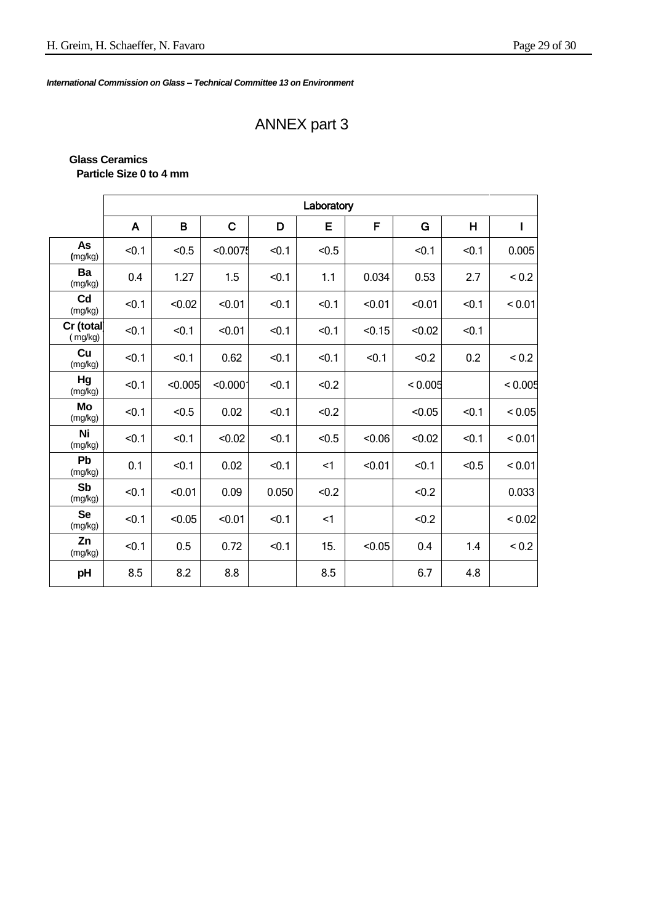# ANNEX part 3

#### **Glass Ceramics Particle Size 0 to 4 mm**

|                           | Laboratory   |         |             |       |          |        |         |       |             |  |  |  |
|---------------------------|--------------|---------|-------------|-------|----------|--------|---------|-------|-------------|--|--|--|
|                           | $\mathsf{A}$ | B       | $\mathbf C$ | D     | E        | F      | G       | H     | $\mathbf I$ |  |  |  |
| As<br>(mg/kg)             | < 0.1        | < 0.5   | < 0.0075    | < 0.1 | < 0.5    |        | < 0.1   | < 0.1 | 0.005       |  |  |  |
| Ba<br>(mg/kg)             | 0.4          | 1.27    | 1.5         | < 0.1 | 1.1      | 0.034  | 0.53    | 2.7   | ${}_{0.2}$  |  |  |  |
| C <sub>d</sub><br>(mg/kg) | < 0.1        | < 0.02  | < 0.01      | < 0.1 | < 0.1    | < 0.01 | < 0.01  | < 0.1 | < 0.01      |  |  |  |
| Cr (total<br>(mg/kg)      | < 0.1        | < 0.1   | < 0.01      | < 0.1 | < 0.1    | < 0.15 | < 0.02  | < 0.1 |             |  |  |  |
| Cu<br>(mg/kg)             | < 0.1        | < 0.1   | 0.62        | < 0.1 | < 0.1    | < 0.1  | < 0.2   | 0.2   | ${}_{0.2}$  |  |  |  |
| Hg<br>(mg/kg)             | < 0.1        | < 0.005 | < 0.000     | < 0.1 | < 0.2    |        | < 0.005 |       | < 0.005     |  |  |  |
| Mo<br>(mg/kg)             | < 0.1        | < 0.5   | 0.02        | < 0.1 | < 0.2    |        | < 0.05  | < 0.1 | < 0.05      |  |  |  |
| Ni<br>(mg/kg)             | < 0.1        | < 0.1   | < 0.02      | < 0.1 | < 0.5    | < 0.06 | < 0.02  | < 0.1 | < 0.01      |  |  |  |
| Pb<br>(mg/kg)             | 0.1          | < 0.1   | 0.02        | < 0.1 | $\leq$ 1 | < 0.01 | < 0.1   | < 0.5 | < 0.01      |  |  |  |
| Sb<br>(mg/kg)             | < 0.1        | < 0.01  | 0.09        | 0.050 | < 0.2    |        | < 0.2   |       | 0.033       |  |  |  |
| <b>Se</b><br>(mg/kg)      | < 0.1        | < 0.05  | < 0.01      | < 0.1 | <1       |        | < 0.2   |       | < 0.02      |  |  |  |
| Zn<br>(mg/kg)             | < 0.1        | 0.5     | 0.72        | < 0.1 | 15.      | < 0.05 | 0.4     | 1.4   | ${}_{0.2}$  |  |  |  |
| pH                        | 8.5          | 8.2     | 8.8         |       | 8.5      |        | 6.7     | 4.8   |             |  |  |  |